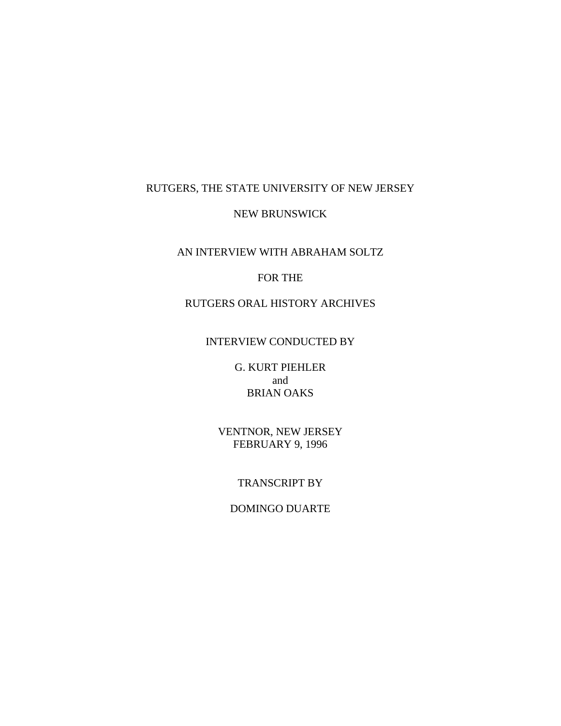## RUTGERS, THE STATE UNIVERSITY OF NEW JERSEY

#### NEW BRUNSWICK

### AN INTERVIEW WITH ABRAHAM SOLTZ

## FOR THE

## RUTGERS ORAL HISTORY ARCHIVES

#### INTERVIEW CONDUCTED BY

G. KURT PIEHLER and BRIAN OAKS

VENTNOR, NEW JERSEY FEBRUARY 9, 1996

## TRANSCRIPT BY

# DOMINGO DUARTE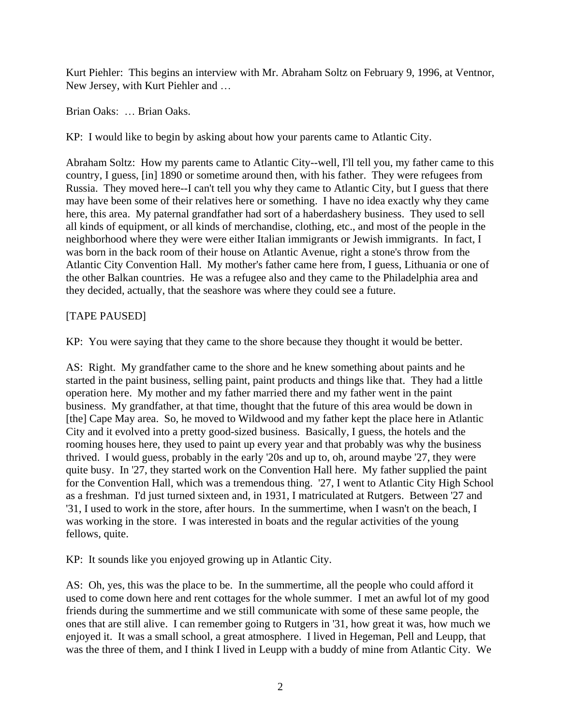Kurt Piehler: This begins an interview with Mr. Abraham Soltz on February 9, 1996, at Ventnor, New Jersey, with Kurt Piehler and …

Brian Oaks: … Brian Oaks.

KP: I would like to begin by asking about how your parents came to Atlantic City.

Abraham Soltz: How my parents came to Atlantic City--well, I'll tell you, my father came to this country, I guess, [in] 1890 or sometime around then, with his father. They were refugees from Russia. They moved here--I can't tell you why they came to Atlantic City, but I guess that there may have been some of their relatives here or something. I have no idea exactly why they came here, this area. My paternal grandfather had sort of a haberdashery business. They used to sell all kinds of equipment, or all kinds of merchandise, clothing, etc., and most of the people in the neighborhood where they were were either Italian immigrants or Jewish immigrants. In fact, I was born in the back room of their house on Atlantic Avenue, right a stone's throw from the Atlantic City Convention Hall. My mother's father came here from, I guess, Lithuania or one of the other Balkan countries. He was a refugee also and they came to the Philadelphia area and they decided, actually, that the seashore was where they could see a future.

## [TAPE PAUSED]

KP: You were saying that they came to the shore because they thought it would be better.

AS: Right. My grandfather came to the shore and he knew something about paints and he started in the paint business, selling paint, paint products and things like that. They had a little operation here. My mother and my father married there and my father went in the paint business. My grandfather, at that time, thought that the future of this area would be down in [the] Cape May area. So, he moved to Wildwood and my father kept the place here in Atlantic City and it evolved into a pretty good-sized business. Basically, I guess, the hotels and the rooming houses here, they used to paint up every year and that probably was why the business thrived. I would guess, probably in the early '20s and up to, oh, around maybe '27, they were quite busy. In '27, they started work on the Convention Hall here. My father supplied the paint for the Convention Hall, which was a tremendous thing. '27, I went to Atlantic City High School as a freshman. I'd just turned sixteen and, in 1931, I matriculated at Rutgers. Between '27 and '31, I used to work in the store, after hours. In the summertime, when I wasn't on the beach, I was working in the store. I was interested in boats and the regular activities of the young fellows, quite.

KP: It sounds like you enjoyed growing up in Atlantic City.

AS: Oh, yes, this was the place to be. In the summertime, all the people who could afford it used to come down here and rent cottages for the whole summer. I met an awful lot of my good friends during the summertime and we still communicate with some of these same people, the ones that are still alive. I can remember going to Rutgers in '31, how great it was, how much we enjoyed it. It was a small school, a great atmosphere. I lived in Hegeman, Pell and Leupp, that was the three of them, and I think I lived in Leupp with a buddy of mine from Atlantic City. We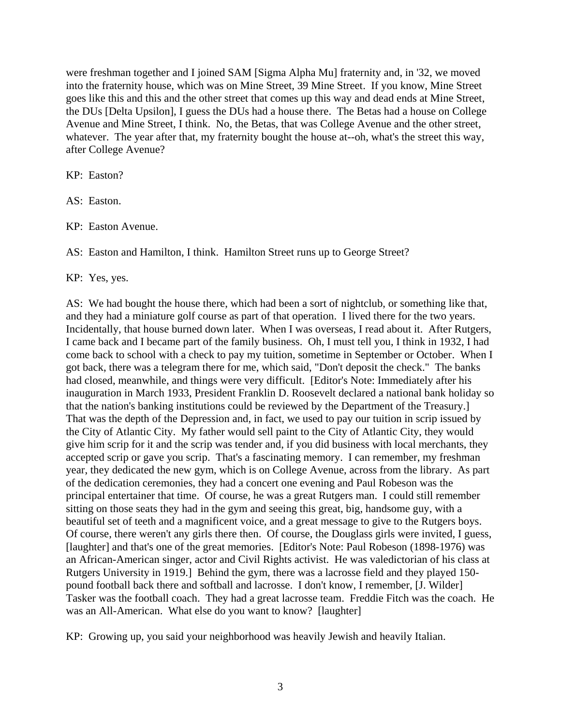were freshman together and I joined SAM [Sigma Alpha Mu] fraternity and, in '32, we moved into the fraternity house, which was on Mine Street, 39 Mine Street. If you know, Mine Street goes like this and this and the other street that comes up this way and dead ends at Mine Street, the DUs [Delta Upsilon], I guess the DUs had a house there. The Betas had a house on College Avenue and Mine Street, I think. No, the Betas, that was College Avenue and the other street, whatever. The year after that, my fraternity bought the house at--oh, what's the street this way, after College Avenue?

KP: Easton?

AS: Easton.

KP: Easton Avenue.

AS: Easton and Hamilton, I think. Hamilton Street runs up to George Street?

KP: Yes, yes.

AS: We had bought the house there, which had been a sort of nightclub, or something like that, and they had a miniature golf course as part of that operation. I lived there for the two years. Incidentally, that house burned down later. When I was overseas, I read about it. After Rutgers, I came back and I became part of the family business. Oh, I must tell you, I think in 1932, I had come back to school with a check to pay my tuition, sometime in September or October. When I got back, there was a telegram there for me, which said, "Don't deposit the check." The banks had closed, meanwhile, and things were very difficult. [Editor's Note: Immediately after his inauguration in March 1933, President Franklin D. Roosevelt declared a national bank holiday so that the nation's banking institutions could be reviewed by the Department of the Treasury.] That was the depth of the Depression and, in fact, we used to pay our tuition in scrip issued by the City of Atlantic City. My father would sell paint to the City of Atlantic City, they would give him scrip for it and the scrip was tender and, if you did business with local merchants, they accepted scrip or gave you scrip. That's a fascinating memory. I can remember, my freshman year, they dedicated the new gym, which is on College Avenue, across from the library. As part of the dedication ceremonies, they had a concert one evening and Paul Robeson was the principal entertainer that time. Of course, he was a great Rutgers man. I could still remember sitting on those seats they had in the gym and seeing this great, big, handsome guy, with a beautiful set of teeth and a magnificent voice, and a great message to give to the Rutgers boys. Of course, there weren't any girls there then. Of course, the Douglass girls were invited, I guess, [laughter] and that's one of the great memories. [Editor's Note: Paul Robeson (1898-1976) was an African-American singer, actor and Civil Rights activist. He was valedictorian of his class at Rutgers University in 1919.] Behind the gym, there was a lacrosse field and they played 150 pound football back there and softball and lacrosse. I don't know, I remember, [J. Wilder] Tasker was the football coach. They had a great lacrosse team. Freddie Fitch was the coach. He was an All-American. What else do you want to know? [laughter]

KP: Growing up, you said your neighborhood was heavily Jewish and heavily Italian.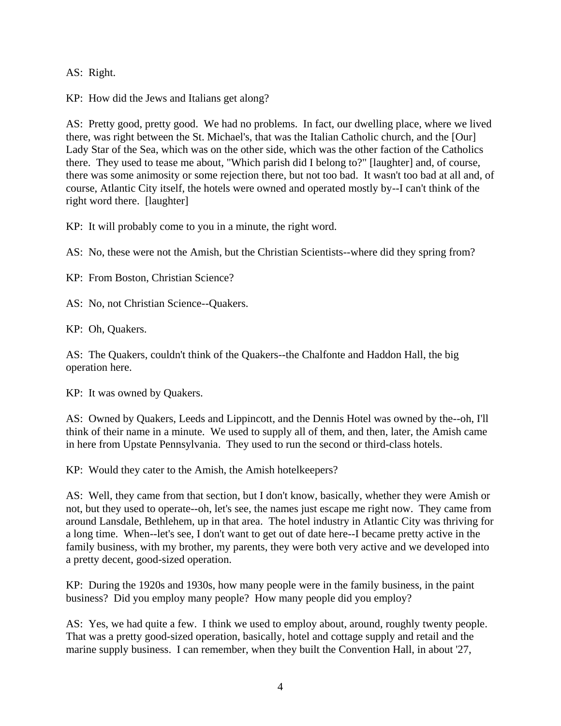AS: Right.

KP: How did the Jews and Italians get along?

AS: Pretty good, pretty good. We had no problems. In fact, our dwelling place, where we lived there, was right between the St. Michael's, that was the Italian Catholic church, and the [Our] Lady Star of the Sea, which was on the other side, which was the other faction of the Catholics there. They used to tease me about, "Which parish did I belong to?" [laughter] and, of course, there was some animosity or some rejection there, but not too bad. It wasn't too bad at all and, of course, Atlantic City itself, the hotels were owned and operated mostly by--I can't think of the right word there. [laughter]

KP: It will probably come to you in a minute, the right word.

AS: No, these were not the Amish, but the Christian Scientists--where did they spring from?

KP: From Boston, Christian Science?

AS: No, not Christian Science--Quakers.

KP: Oh, Quakers.

AS: The Quakers, couldn't think of the Quakers--the Chalfonte and Haddon Hall, the big operation here.

KP: It was owned by Quakers.

AS: Owned by Quakers, Leeds and Lippincott, and the Dennis Hotel was owned by the--oh, I'll think of their name in a minute. We used to supply all of them, and then, later, the Amish came in here from Upstate Pennsylvania. They used to run the second or third-class hotels.

KP: Would they cater to the Amish, the Amish hotelkeepers?

AS: Well, they came from that section, but I don't know, basically, whether they were Amish or not, but they used to operate--oh, let's see, the names just escape me right now. They came from around Lansdale, Bethlehem, up in that area. The hotel industry in Atlantic City was thriving for a long time. When--let's see, I don't want to get out of date here--I became pretty active in the family business, with my brother, my parents, they were both very active and we developed into a pretty decent, good-sized operation.

KP: During the 1920s and 1930s, how many people were in the family business, in the paint business? Did you employ many people? How many people did you employ?

AS: Yes, we had quite a few. I think we used to employ about, around, roughly twenty people. That was a pretty good-sized operation, basically, hotel and cottage supply and retail and the marine supply business. I can remember, when they built the Convention Hall, in about '27,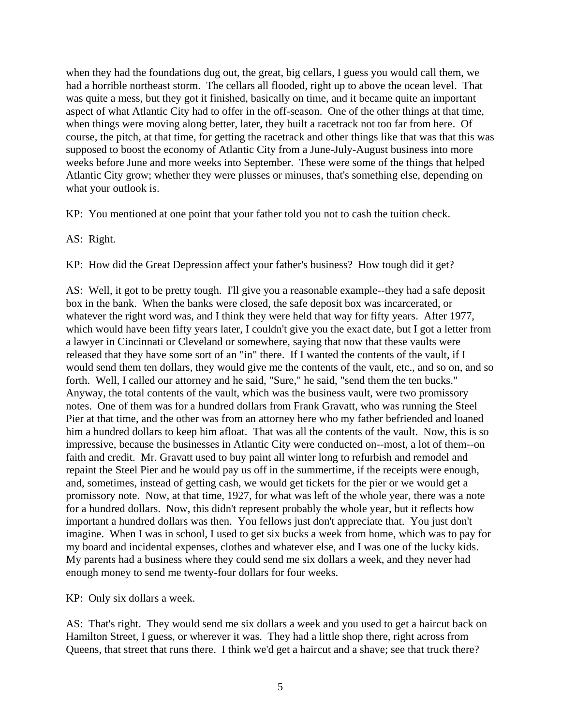when they had the foundations dug out, the great, big cellars, I guess you would call them, we had a horrible northeast storm. The cellars all flooded, right up to above the ocean level. That was quite a mess, but they got it finished, basically on time, and it became quite an important aspect of what Atlantic City had to offer in the off-season. One of the other things at that time, when things were moving along better, later, they built a racetrack not too far from here. Of course, the pitch, at that time, for getting the racetrack and other things like that was that this was supposed to boost the economy of Atlantic City from a June-July-August business into more weeks before June and more weeks into September. These were some of the things that helped Atlantic City grow; whether they were plusses or minuses, that's something else, depending on what your outlook is.

KP: You mentioned at one point that your father told you not to cash the tuition check.

AS: Right.

KP: How did the Great Depression affect your father's business? How tough did it get?

AS: Well, it got to be pretty tough. I'll give you a reasonable example--they had a safe deposit box in the bank. When the banks were closed, the safe deposit box was incarcerated, or whatever the right word was, and I think they were held that way for fifty years. After 1977, which would have been fifty years later, I couldn't give you the exact date, but I got a letter from a lawyer in Cincinnati or Cleveland or somewhere, saying that now that these vaults were released that they have some sort of an "in" there. If I wanted the contents of the vault, if I would send them ten dollars, they would give me the contents of the vault, etc., and so on, and so forth. Well, I called our attorney and he said, "Sure," he said, "send them the ten bucks." Anyway, the total contents of the vault, which was the business vault, were two promissory notes. One of them was for a hundred dollars from Frank Gravatt, who was running the Steel Pier at that time, and the other was from an attorney here who my father befriended and loaned him a hundred dollars to keep him afloat. That was all the contents of the vault. Now, this is so impressive, because the businesses in Atlantic City were conducted on--most, a lot of them--on faith and credit. Mr. Gravatt used to buy paint all winter long to refurbish and remodel and repaint the Steel Pier and he would pay us off in the summertime, if the receipts were enough, and, sometimes, instead of getting cash, we would get tickets for the pier or we would get a promissory note. Now, at that time, 1927, for what was left of the whole year, there was a note for a hundred dollars. Now, this didn't represent probably the whole year, but it reflects how important a hundred dollars was then. You fellows just don't appreciate that. You just don't imagine. When I was in school, I used to get six bucks a week from home, which was to pay for my board and incidental expenses, clothes and whatever else, and I was one of the lucky kids. My parents had a business where they could send me six dollars a week, and they never had enough money to send me twenty-four dollars for four weeks.

KP: Only six dollars a week.

AS: That's right. They would send me six dollars a week and you used to get a haircut back on Hamilton Street, I guess, or wherever it was. They had a little shop there, right across from Queens, that street that runs there. I think we'd get a haircut and a shave; see that truck there?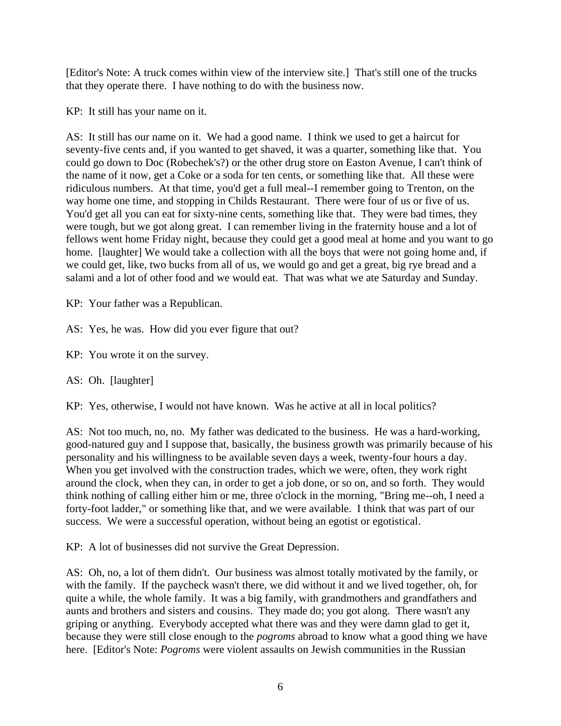[Editor's Note: A truck comes within view of the interview site.] That's still one of the trucks that they operate there. I have nothing to do with the business now.

KP: It still has your name on it.

AS: It still has our name on it. We had a good name. I think we used to get a haircut for seventy-five cents and, if you wanted to get shaved, it was a quarter, something like that. You could go down to Doc (Robechek's?) or the other drug store on Easton Avenue, I can't think of the name of it now, get a Coke or a soda for ten cents, or something like that. All these were ridiculous numbers. At that time, you'd get a full meal--I remember going to Trenton, on the way home one time, and stopping in Childs Restaurant. There were four of us or five of us. You'd get all you can eat for sixty-nine cents, something like that. They were bad times, they were tough, but we got along great. I can remember living in the fraternity house and a lot of fellows went home Friday night, because they could get a good meal at home and you want to go home. [laughter] We would take a collection with all the boys that were not going home and, if we could get, like, two bucks from all of us, we would go and get a great, big rye bread and a salami and a lot of other food and we would eat. That was what we ate Saturday and Sunday.

KP: Your father was a Republican.

AS: Yes, he was. How did you ever figure that out?

KP: You wrote it on the survey.

AS: Oh. [laughter]

KP: Yes, otherwise, I would not have known. Was he active at all in local politics?

AS: Not too much, no, no. My father was dedicated to the business. He was a hard-working, good-natured guy and I suppose that, basically, the business growth was primarily because of his personality and his willingness to be available seven days a week, twenty-four hours a day. When you get involved with the construction trades, which we were, often, they work right around the clock, when they can, in order to get a job done, or so on, and so forth. They would think nothing of calling either him or me, three o'clock in the morning, "Bring me--oh, I need a forty-foot ladder," or something like that, and we were available. I think that was part of our success. We were a successful operation, without being an egotist or egotistical.

KP: A lot of businesses did not survive the Great Depression.

AS: Oh, no, a lot of them didn't. Our business was almost totally motivated by the family, or with the family. If the paycheck wasn't there, we did without it and we lived together, oh, for quite a while, the whole family. It was a big family, with grandmothers and grandfathers and aunts and brothers and sisters and cousins. They made do; you got along. There wasn't any griping or anything. Everybody accepted what there was and they were damn glad to get it, because they were still close enough to the *pogroms* abroad to know what a good thing we have here. [Editor's Note: *Pogroms* were violent assaults on Jewish communities in the Russian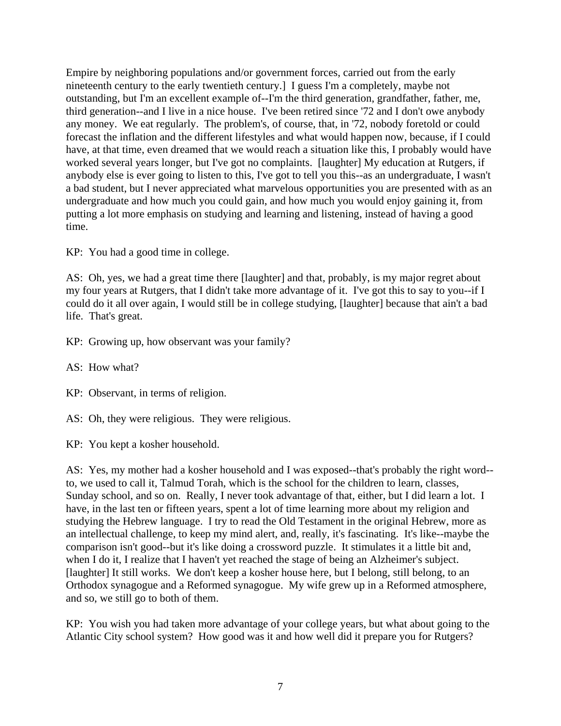Empire by neighboring populations and/or government forces, carried out from the early nineteenth century to the early twentieth century.] I guess I'm a completely, maybe not outstanding, but I'm an excellent example of--I'm the third generation, grandfather, father, me, third generation--and I live in a nice house. I've been retired since '72 and I don't owe anybody any money. We eat regularly. The problem's, of course, that, in '72, nobody foretold or could forecast the inflation and the different lifestyles and what would happen now, because, if I could have, at that time, even dreamed that we would reach a situation like this, I probably would have worked several years longer, but I've got no complaints. [laughter] My education at Rutgers, if anybody else is ever going to listen to this, I've got to tell you this--as an undergraduate, I wasn't a bad student, but I never appreciated what marvelous opportunities you are presented with as an undergraduate and how much you could gain, and how much you would enjoy gaining it, from putting a lot more emphasis on studying and learning and listening, instead of having a good time.

KP: You had a good time in college.

AS: Oh, yes, we had a great time there [laughter] and that, probably, is my major regret about my four years at Rutgers, that I didn't take more advantage of it. I've got this to say to you--if I could do it all over again, I would still be in college studying, [laughter] because that ain't a bad life. That's great.

KP: Growing up, how observant was your family?

AS: How what?

KP: Observant, in terms of religion.

AS: Oh, they were religious. They were religious.

KP: You kept a kosher household.

AS: Yes, my mother had a kosher household and I was exposed--that's probably the right word- to, we used to call it, Talmud Torah, which is the school for the children to learn, classes, Sunday school, and so on. Really, I never took advantage of that, either, but I did learn a lot. I have, in the last ten or fifteen years, spent a lot of time learning more about my religion and studying the Hebrew language. I try to read the Old Testament in the original Hebrew, more as an intellectual challenge, to keep my mind alert, and, really, it's fascinating. It's like--maybe the comparison isn't good--but it's like doing a crossword puzzle. It stimulates it a little bit and, when I do it, I realize that I haven't yet reached the stage of being an Alzheimer's subject. [laughter] It still works. We don't keep a kosher house here, but I belong, still belong, to an Orthodox synagogue and a Reformed synagogue. My wife grew up in a Reformed atmosphere, and so, we still go to both of them.

KP: You wish you had taken more advantage of your college years, but what about going to the Atlantic City school system? How good was it and how well did it prepare you for Rutgers?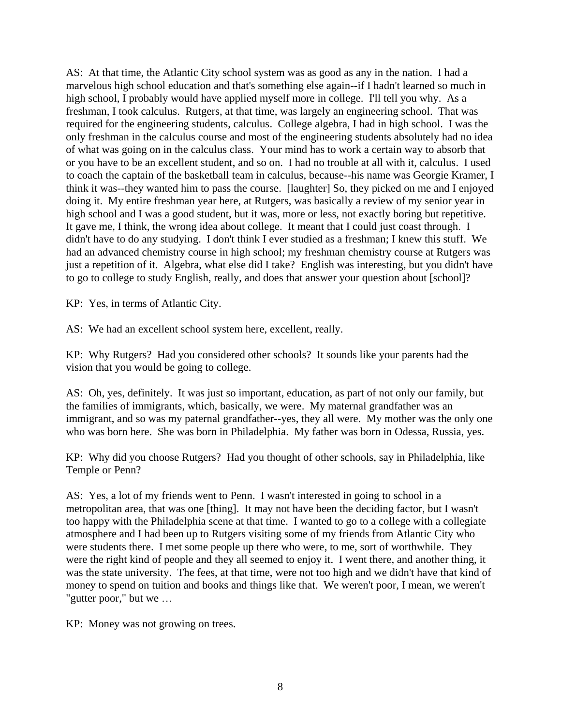AS: At that time, the Atlantic City school system was as good as any in the nation. I had a marvelous high school education and that's something else again--if I hadn't learned so much in high school, I probably would have applied myself more in college. I'll tell you why. As a freshman, I took calculus. Rutgers, at that time, was largely an engineering school. That was required for the engineering students, calculus. College algebra, I had in high school. I was the only freshman in the calculus course and most of the engineering students absolutely had no idea of what was going on in the calculus class. Your mind has to work a certain way to absorb that or you have to be an excellent student, and so on. I had no trouble at all with it, calculus. I used to coach the captain of the basketball team in calculus, because--his name was Georgie Kramer, I think it was--they wanted him to pass the course. [laughter] So, they picked on me and I enjoyed doing it. My entire freshman year here, at Rutgers, was basically a review of my senior year in high school and I was a good student, but it was, more or less, not exactly boring but repetitive. It gave me, I think, the wrong idea about college. It meant that I could just coast through. I didn't have to do any studying. I don't think I ever studied as a freshman; I knew this stuff. We had an advanced chemistry course in high school; my freshman chemistry course at Rutgers was just a repetition of it. Algebra, what else did I take? English was interesting, but you didn't have to go to college to study English, really, and does that answer your question about [school]?

KP: Yes, in terms of Atlantic City.

AS: We had an excellent school system here, excellent, really.

KP: Why Rutgers? Had you considered other schools? It sounds like your parents had the vision that you would be going to college.

AS: Oh, yes, definitely. It was just so important, education, as part of not only our family, but the families of immigrants, which, basically, we were. My maternal grandfather was an immigrant, and so was my paternal grandfather--yes, they all were. My mother was the only one who was born here. She was born in Philadelphia. My father was born in Odessa, Russia, yes.

KP: Why did you choose Rutgers? Had you thought of other schools, say in Philadelphia, like Temple or Penn?

AS: Yes, a lot of my friends went to Penn. I wasn't interested in going to school in a metropolitan area, that was one [thing]. It may not have been the deciding factor, but I wasn't too happy with the Philadelphia scene at that time. I wanted to go to a college with a collegiate atmosphere and I had been up to Rutgers visiting some of my friends from Atlantic City who were students there. I met some people up there who were, to me, sort of worthwhile. They were the right kind of people and they all seemed to enjoy it. I went there, and another thing, it was the state university. The fees, at that time, were not too high and we didn't have that kind of money to spend on tuition and books and things like that. We weren't poor, I mean, we weren't "gutter poor," but we …

KP: Money was not growing on trees.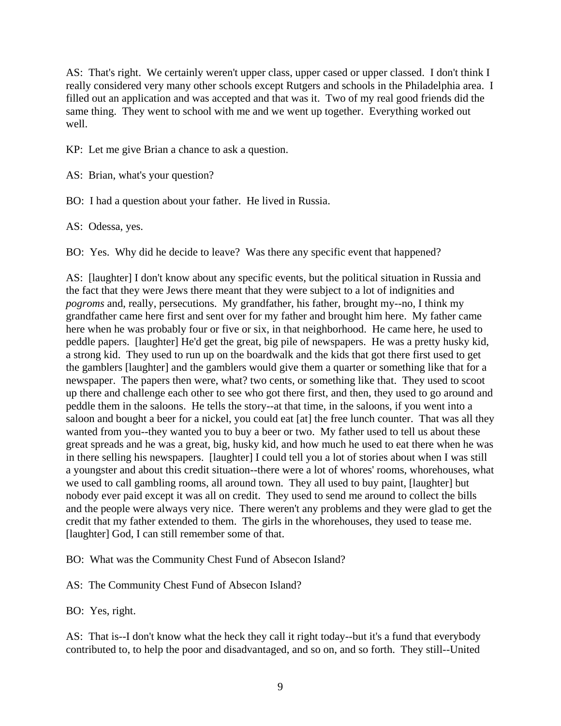AS: That's right. We certainly weren't upper class, upper cased or upper classed. I don't think I really considered very many other schools except Rutgers and schools in the Philadelphia area. I filled out an application and was accepted and that was it. Two of my real good friends did the same thing. They went to school with me and we went up together. Everything worked out well.

KP: Let me give Brian a chance to ask a question.

AS: Brian, what's your question?

BO: I had a question about your father. He lived in Russia.

AS: Odessa, yes.

BO: Yes. Why did he decide to leave? Was there any specific event that happened?

AS: [laughter] I don't know about any specific events, but the political situation in Russia and the fact that they were Jews there meant that they were subject to a lot of indignities and *pogroms* and, really, persecutions. My grandfather, his father, brought my--no, I think my grandfather came here first and sent over for my father and brought him here. My father came here when he was probably four or five or six, in that neighborhood. He came here, he used to peddle papers. [laughter] He'd get the great, big pile of newspapers. He was a pretty husky kid, a strong kid. They used to run up on the boardwalk and the kids that got there first used to get the gamblers [laughter] and the gamblers would give them a quarter or something like that for a newspaper. The papers then were, what? two cents, or something like that. They used to scoot up there and challenge each other to see who got there first, and then, they used to go around and peddle them in the saloons. He tells the story--at that time, in the saloons, if you went into a saloon and bought a beer for a nickel, you could eat [at] the free lunch counter. That was all they wanted from you--they wanted you to buy a beer or two. My father used to tell us about these great spreads and he was a great, big, husky kid, and how much he used to eat there when he was in there selling his newspapers. [laughter] I could tell you a lot of stories about when I was still a youngster and about this credit situation--there were a lot of whores' rooms, whorehouses, what we used to call gambling rooms, all around town. They all used to buy paint, [laughter] but nobody ever paid except it was all on credit. They used to send me around to collect the bills and the people were always very nice. There weren't any problems and they were glad to get the credit that my father extended to them. The girls in the whorehouses, they used to tease me. [laughter] God, I can still remember some of that.

BO: What was the Community Chest Fund of Absecon Island?

AS: The Community Chest Fund of Absecon Island?

BO: Yes, right.

AS: That is--I don't know what the heck they call it right today--but it's a fund that everybody contributed to, to help the poor and disadvantaged, and so on, and so forth. They still--United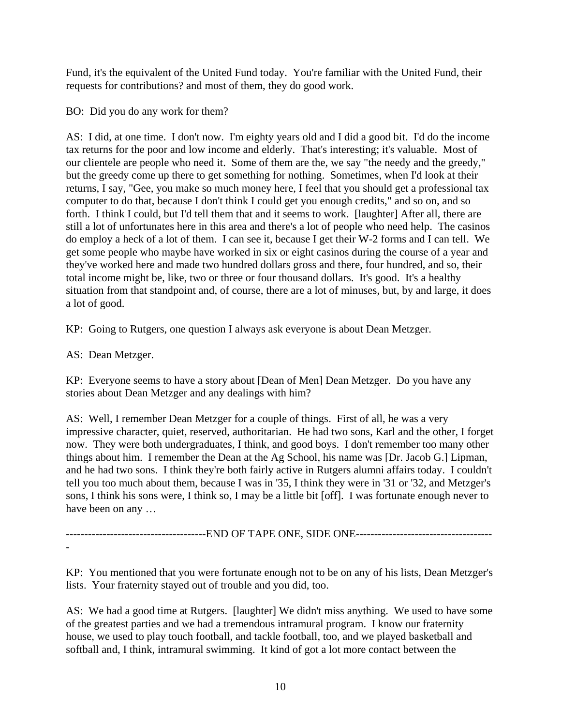Fund, it's the equivalent of the United Fund today. You're familiar with the United Fund, their requests for contributions? and most of them, they do good work.

BO: Did you do any work for them?

AS: I did, at one time. I don't now. I'm eighty years old and I did a good bit. I'd do the income tax returns for the poor and low income and elderly. That's interesting; it's valuable. Most of our clientele are people who need it. Some of them are the, we say "the needy and the greedy," but the greedy come up there to get something for nothing. Sometimes, when I'd look at their returns, I say, "Gee, you make so much money here, I feel that you should get a professional tax computer to do that, because I don't think I could get you enough credits," and so on, and so forth. I think I could, but I'd tell them that and it seems to work. [laughter] After all, there are still a lot of unfortunates here in this area and there's a lot of people who need help. The casinos do employ a heck of a lot of them. I can see it, because I get their W-2 forms and I can tell. We get some people who maybe have worked in six or eight casinos during the course of a year and they've worked here and made two hundred dollars gross and there, four hundred, and so, their total income might be, like, two or three or four thousand dollars. It's good. It's a healthy situation from that standpoint and, of course, there are a lot of minuses, but, by and large, it does a lot of good.

KP: Going to Rutgers, one question I always ask everyone is about Dean Metzger.

AS: Dean Metzger.

KP: Everyone seems to have a story about [Dean of Men] Dean Metzger. Do you have any stories about Dean Metzger and any dealings with him?

AS: Well, I remember Dean Metzger for a couple of things. First of all, he was a very impressive character, quiet, reserved, authoritarian. He had two sons, Karl and the other, I forget now. They were both undergraduates, I think, and good boys. I don't remember too many other things about him. I remember the Dean at the Ag School, his name was [Dr. Jacob G.] Lipman, and he had two sons. I think they're both fairly active in Rutgers alumni affairs today. I couldn't tell you too much about them, because I was in '35, I think they were in '31 or '32, and Metzger's sons, I think his sons were, I think so, I may be a little bit [off]. I was fortunate enough never to have been on any …

--------------------------------------END OF TAPE ONE, SIDE ONE-------------------------------------

-

KP: You mentioned that you were fortunate enough not to be on any of his lists, Dean Metzger's lists. Your fraternity stayed out of trouble and you did, too.

AS: We had a good time at Rutgers. [laughter] We didn't miss anything. We used to have some of the greatest parties and we had a tremendous intramural program. I know our fraternity house, we used to play touch football, and tackle football, too, and we played basketball and softball and, I think, intramural swimming. It kind of got a lot more contact between the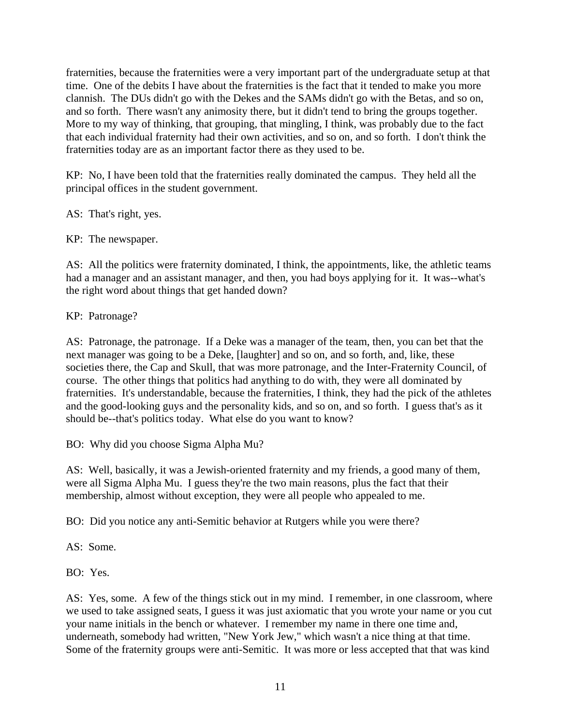fraternities, because the fraternities were a very important part of the undergraduate setup at that time. One of the debits I have about the fraternities is the fact that it tended to make you more clannish. The DUs didn't go with the Dekes and the SAMs didn't go with the Betas, and so on, and so forth. There wasn't any animosity there, but it didn't tend to bring the groups together. More to my way of thinking, that grouping, that mingling, I think, was probably due to the fact that each individual fraternity had their own activities, and so on, and so forth. I don't think the fraternities today are as an important factor there as they used to be.

KP: No, I have been told that the fraternities really dominated the campus. They held all the principal offices in the student government.

AS: That's right, yes.

KP: The newspaper.

AS: All the politics were fraternity dominated, I think, the appointments, like, the athletic teams had a manager and an assistant manager, and then, you had boys applying for it. It was--what's the right word about things that get handed down?

KP: Patronage?

AS: Patronage, the patronage. If a Deke was a manager of the team, then, you can bet that the next manager was going to be a Deke, [laughter] and so on, and so forth, and, like, these societies there, the Cap and Skull, that was more patronage, and the Inter-Fraternity Council, of course. The other things that politics had anything to do with, they were all dominated by fraternities. It's understandable, because the fraternities, I think, they had the pick of the athletes and the good-looking guys and the personality kids, and so on, and so forth. I guess that's as it should be--that's politics today. What else do you want to know?

BO: Why did you choose Sigma Alpha Mu?

AS: Well, basically, it was a Jewish-oriented fraternity and my friends, a good many of them, were all Sigma Alpha Mu. I guess they're the two main reasons, plus the fact that their membership, almost without exception, they were all people who appealed to me.

BO: Did you notice any anti-Semitic behavior at Rutgers while you were there?

AS: Some.

BO: Yes.

AS: Yes, some. A few of the things stick out in my mind. I remember, in one classroom, where we used to take assigned seats, I guess it was just axiomatic that you wrote your name or you cut your name initials in the bench or whatever. I remember my name in there one time and, underneath, somebody had written, "New York Jew," which wasn't a nice thing at that time. Some of the fraternity groups were anti-Semitic. It was more or less accepted that that was kind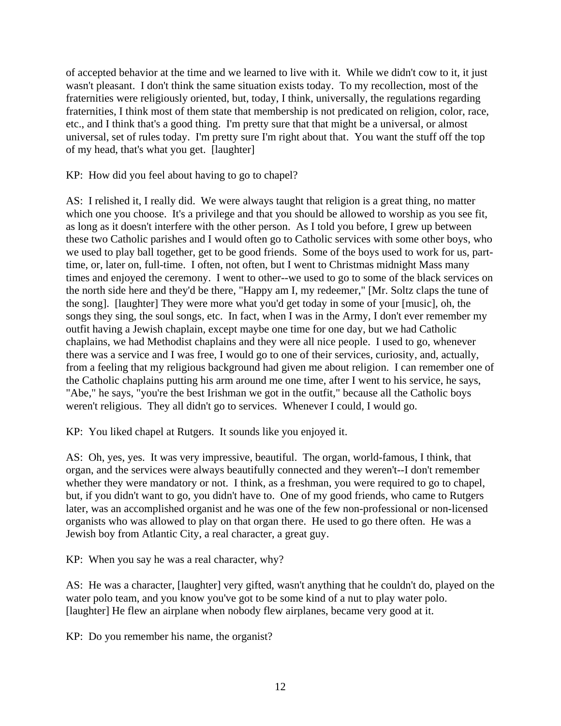of accepted behavior at the time and we learned to live with it. While we didn't cow to it, it just wasn't pleasant. I don't think the same situation exists today. To my recollection, most of the fraternities were religiously oriented, but, today, I think, universally, the regulations regarding fraternities, I think most of them state that membership is not predicated on religion, color, race, etc., and I think that's a good thing. I'm pretty sure that that might be a universal, or almost universal, set of rules today. I'm pretty sure I'm right about that. You want the stuff off the top of my head, that's what you get. [laughter]

KP: How did you feel about having to go to chapel?

AS: I relished it, I really did. We were always taught that religion is a great thing, no matter which one you choose. It's a privilege and that you should be allowed to worship as you see fit, as long as it doesn't interfere with the other person. As I told you before, I grew up between these two Catholic parishes and I would often go to Catholic services with some other boys, who we used to play ball together, get to be good friends. Some of the boys used to work for us, parttime, or, later on, full-time. I often, not often, but I went to Christmas midnight Mass many times and enjoyed the ceremony. I went to other--we used to go to some of the black services on the north side here and they'd be there, "Happy am I, my redeemer," [Mr. Soltz claps the tune of the song]. [laughter] They were more what you'd get today in some of your [music], oh, the songs they sing, the soul songs, etc. In fact, when I was in the Army, I don't ever remember my outfit having a Jewish chaplain, except maybe one time for one day, but we had Catholic chaplains, we had Methodist chaplains and they were all nice people. I used to go, whenever there was a service and I was free, I would go to one of their services, curiosity, and, actually, from a feeling that my religious background had given me about religion. I can remember one of the Catholic chaplains putting his arm around me one time, after I went to his service, he says, "Abe," he says, "you're the best Irishman we got in the outfit," because all the Catholic boys weren't religious. They all didn't go to services. Whenever I could, I would go.

KP: You liked chapel at Rutgers. It sounds like you enjoyed it.

AS: Oh, yes, yes. It was very impressive, beautiful. The organ, world-famous, I think, that organ, and the services were always beautifully connected and they weren't--I don't remember whether they were mandatory or not. I think, as a freshman, you were required to go to chapel, but, if you didn't want to go, you didn't have to. One of my good friends, who came to Rutgers later, was an accomplished organist and he was one of the few non-professional or non-licensed organists who was allowed to play on that organ there. He used to go there often. He was a Jewish boy from Atlantic City, a real character, a great guy.

KP: When you say he was a real character, why?

AS: He was a character, [laughter] very gifted, wasn't anything that he couldn't do, played on the water polo team, and you know you've got to be some kind of a nut to play water polo. [laughter] He flew an airplane when nobody flew airplanes, became very good at it.

KP: Do you remember his name, the organist?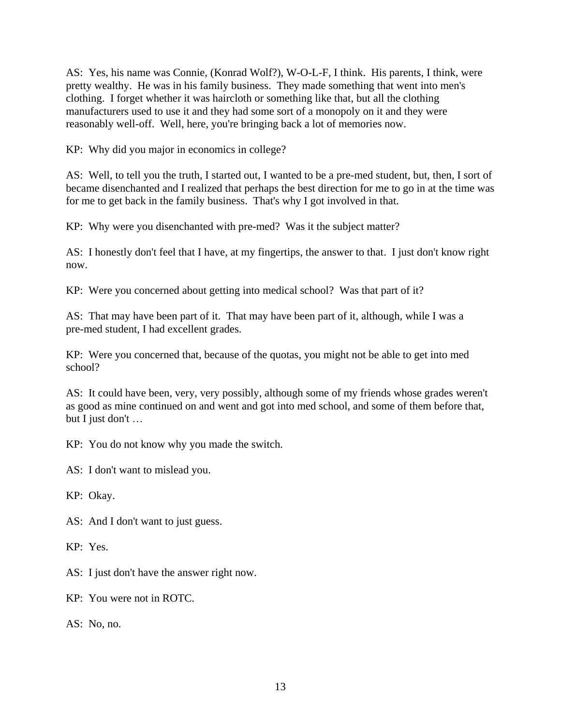AS: Yes, his name was Connie, (Konrad Wolf?), W-O-L-F, I think. His parents, I think, were pretty wealthy. He was in his family business. They made something that went into men's clothing. I forget whether it was haircloth or something like that, but all the clothing manufacturers used to use it and they had some sort of a monopoly on it and they were reasonably well-off. Well, here, you're bringing back a lot of memories now.

KP: Why did you major in economics in college?

AS: Well, to tell you the truth, I started out, I wanted to be a pre-med student, but, then, I sort of became disenchanted and I realized that perhaps the best direction for me to go in at the time was for me to get back in the family business. That's why I got involved in that.

KP: Why were you disenchanted with pre-med? Was it the subject matter?

AS: I honestly don't feel that I have, at my fingertips, the answer to that. I just don't know right now.

KP: Were you concerned about getting into medical school? Was that part of it?

AS: That may have been part of it. That may have been part of it, although, while I was a pre-med student, I had excellent grades.

KP: Were you concerned that, because of the quotas, you might not be able to get into med school?

AS: It could have been, very, very possibly, although some of my friends whose grades weren't as good as mine continued on and went and got into med school, and some of them before that, but I just don't …

KP: You do not know why you made the switch.

AS: I don't want to mislead you.

KP: Okay.

AS: And I don't want to just guess.

KP: Yes.

AS: I just don't have the answer right now.

KP: You were not in ROTC.

AS: No, no.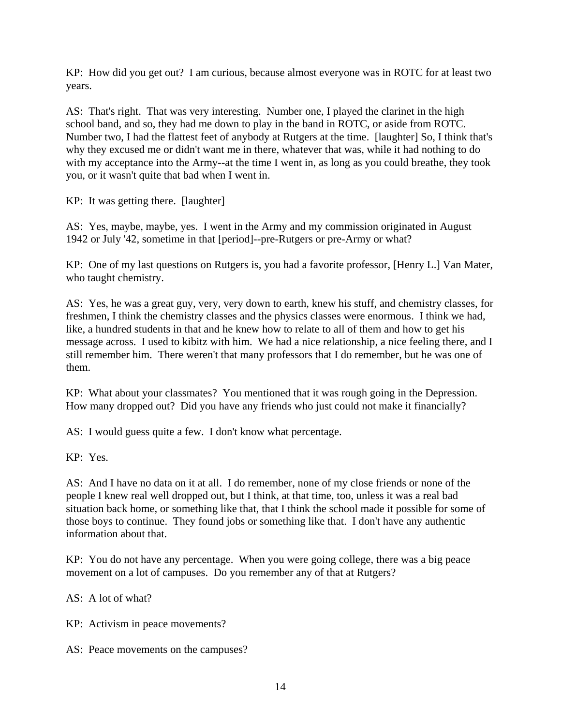KP: How did you get out? I am curious, because almost everyone was in ROTC for at least two years.

AS: That's right. That was very interesting. Number one, I played the clarinet in the high school band, and so, they had me down to play in the band in ROTC, or aside from ROTC. Number two, I had the flattest feet of anybody at Rutgers at the time. [laughter] So, I think that's why they excused me or didn't want me in there, whatever that was, while it had nothing to do with my acceptance into the Army--at the time I went in, as long as you could breathe, they took you, or it wasn't quite that bad when I went in.

KP: It was getting there. [laughter]

AS: Yes, maybe, maybe, yes. I went in the Army and my commission originated in August 1942 or July '42, sometime in that [period]--pre-Rutgers or pre-Army or what?

KP: One of my last questions on Rutgers is, you had a favorite professor, [Henry L.] Van Mater, who taught chemistry.

AS: Yes, he was a great guy, very, very down to earth, knew his stuff, and chemistry classes, for freshmen, I think the chemistry classes and the physics classes were enormous. I think we had, like, a hundred students in that and he knew how to relate to all of them and how to get his message across. I used to kibitz with him. We had a nice relationship, a nice feeling there, and I still remember him. There weren't that many professors that I do remember, but he was one of them.

KP: What about your classmates? You mentioned that it was rough going in the Depression. How many dropped out? Did you have any friends who just could not make it financially?

AS: I would guess quite a few. I don't know what percentage.

KP: Yes.

AS: And I have no data on it at all. I do remember, none of my close friends or none of the people I knew real well dropped out, but I think, at that time, too, unless it was a real bad situation back home, or something like that, that I think the school made it possible for some of those boys to continue. They found jobs or something like that. I don't have any authentic information about that.

KP: You do not have any percentage. When you were going college, there was a big peace movement on a lot of campuses. Do you remember any of that at Rutgers?

AS: A lot of what?

KP: Activism in peace movements?

AS: Peace movements on the campuses?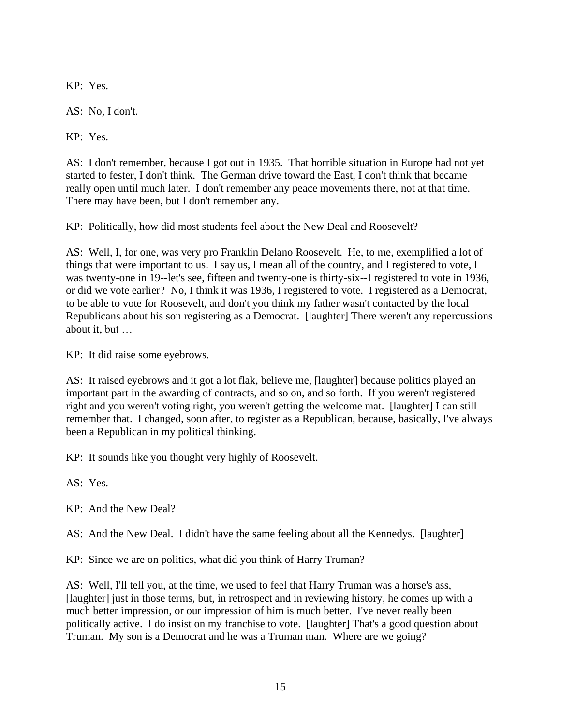KP: Yes.

AS: No, I don't.

KP: Yes.

AS: I don't remember, because I got out in 1935. That horrible situation in Europe had not yet started to fester, I don't think. The German drive toward the East, I don't think that became really open until much later. I don't remember any peace movements there, not at that time. There may have been, but I don't remember any.

KP: Politically, how did most students feel about the New Deal and Roosevelt?

AS: Well, I, for one, was very pro Franklin Delano Roosevelt. He, to me, exemplified a lot of things that were important to us. I say us, I mean all of the country, and I registered to vote, I was twenty-one in 19--let's see, fifteen and twenty-one is thirty-six--I registered to vote in 1936, or did we vote earlier? No, I think it was 1936, I registered to vote. I registered as a Democrat, to be able to vote for Roosevelt, and don't you think my father wasn't contacted by the local Republicans about his son registering as a Democrat. [laughter] There weren't any repercussions about it, but …

KP: It did raise some eyebrows.

AS: It raised eyebrows and it got a lot flak, believe me, [laughter] because politics played an important part in the awarding of contracts, and so on, and so forth. If you weren't registered right and you weren't voting right, you weren't getting the welcome mat. [laughter] I can still remember that. I changed, soon after, to register as a Republican, because, basically, I've always been a Republican in my political thinking.

KP: It sounds like you thought very highly of Roosevelt.

AS: Yes.

KP: And the New Deal?

AS: And the New Deal. I didn't have the same feeling about all the Kennedys. [laughter]

KP: Since we are on politics, what did you think of Harry Truman?

AS: Well, I'll tell you, at the time, we used to feel that Harry Truman was a horse's ass, [laughter] just in those terms, but, in retrospect and in reviewing history, he comes up with a much better impression, or our impression of him is much better. I've never really been politically active. I do insist on my franchise to vote. [laughter] That's a good question about Truman. My son is a Democrat and he was a Truman man. Where are we going?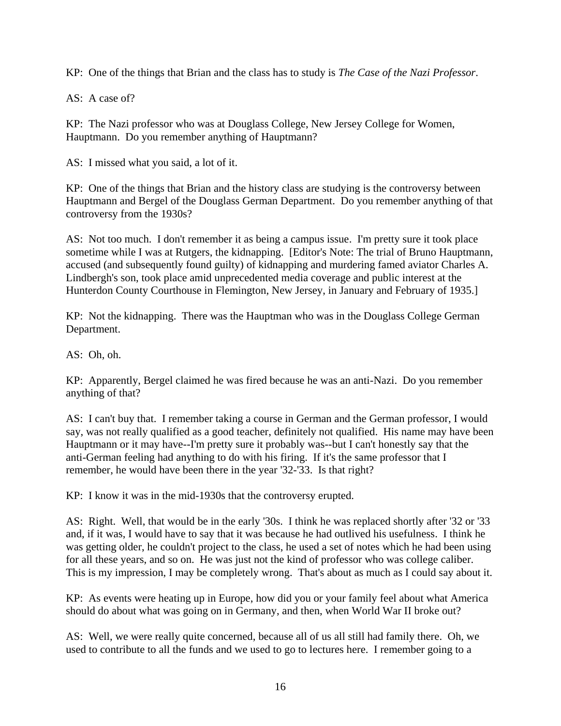KP: One of the things that Brian and the class has to study is *The Case of the Nazi Professor*.

AS: A case of?

KP: The Nazi professor who was at Douglass College, New Jersey College for Women, Hauptmann. Do you remember anything of Hauptmann?

AS: I missed what you said, a lot of it.

KP: One of the things that Brian and the history class are studying is the controversy between Hauptmann and Bergel of the Douglass German Department. Do you remember anything of that controversy from the 1930s?

AS: Not too much. I don't remember it as being a campus issue. I'm pretty sure it took place sometime while I was at Rutgers, the kidnapping. [Editor's Note: The trial of Bruno Hauptmann, accused (and subsequently found guilty) of kidnapping and murdering famed aviator Charles A. Lindbergh's son, took place amid unprecedented media coverage and public interest at the Hunterdon County Courthouse in Flemington, New Jersey, in January and February of 1935.]

KP: Not the kidnapping. There was the Hauptman who was in the Douglass College German Department.

AS: Oh, oh.

KP: Apparently, Bergel claimed he was fired because he was an anti-Nazi. Do you remember anything of that?

AS: I can't buy that. I remember taking a course in German and the German professor, I would say, was not really qualified as a good teacher, definitely not qualified. His name may have been Hauptmann or it may have--I'm pretty sure it probably was--but I can't honestly say that the anti-German feeling had anything to do with his firing. If it's the same professor that I remember, he would have been there in the year '32-'33. Is that right?

KP: I know it was in the mid-1930s that the controversy erupted.

AS: Right. Well, that would be in the early '30s. I think he was replaced shortly after '32 or '33 and, if it was, I would have to say that it was because he had outlived his usefulness. I think he was getting older, he couldn't project to the class, he used a set of notes which he had been using for all these years, and so on. He was just not the kind of professor who was college caliber. This is my impression, I may be completely wrong. That's about as much as I could say about it.

KP: As events were heating up in Europe, how did you or your family feel about what America should do about what was going on in Germany, and then, when World War II broke out?

AS: Well, we were really quite concerned, because all of us all still had family there. Oh, we used to contribute to all the funds and we used to go to lectures here. I remember going to a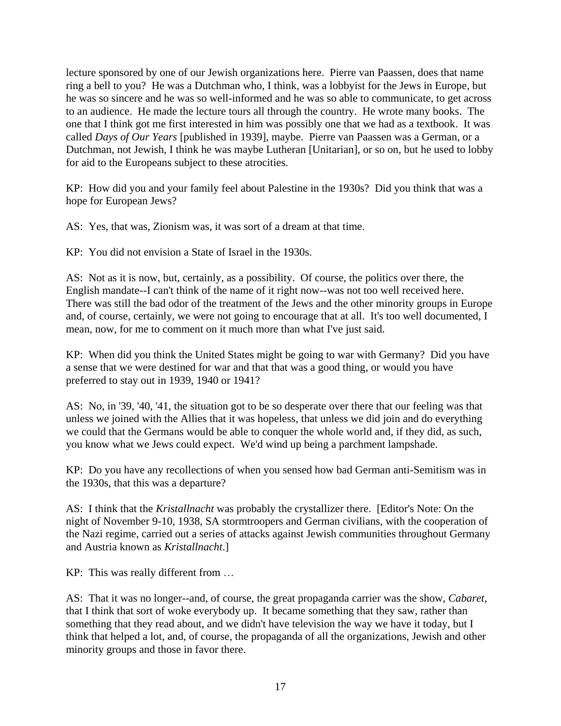lecture sponsored by one of our Jewish organizations here. Pierre van Paassen, does that name ring a bell to you? He was a Dutchman who, I think, was a lobbyist for the Jews in Europe, but he was so sincere and he was so well-informed and he was so able to communicate, to get across to an audience. He made the lecture tours all through the country. He wrote many books. The one that I think got me first interested in him was possibly one that we had as a textbook. It was called *Days of Our Years* [published in 1939]*,* maybe. Pierre van Paassen was a German, or a Dutchman, not Jewish, I think he was maybe Lutheran [Unitarian], or so on, but he used to lobby for aid to the Europeans subject to these atrocities.

KP: How did you and your family feel about Palestine in the 1930s? Did you think that was a hope for European Jews?

AS: Yes, that was, Zionism was, it was sort of a dream at that time.

KP: You did not envision a State of Israel in the 1930s.

AS: Not as it is now, but, certainly, as a possibility. Of course, the politics over there, the English mandate--I can't think of the name of it right now--was not too well received here. There was still the bad odor of the treatment of the Jews and the other minority groups in Europe and, of course, certainly, we were not going to encourage that at all. It's too well documented, I mean, now, for me to comment on it much more than what I've just said.

KP: When did you think the United States might be going to war with Germany? Did you have a sense that we were destined for war and that that was a good thing, or would you have preferred to stay out in 1939, 1940 or 1941?

AS: No, in '39, '40, '41, the situation got to be so desperate over there that our feeling was that unless we joined with the Allies that it was hopeless, that unless we did join and do everything we could that the Germans would be able to conquer the whole world and, if they did, as such, you know what we Jews could expect. We'd wind up being a parchment lampshade.

KP: Do you have any recollections of when you sensed how bad German anti-Semitism was in the 1930s, that this was a departure?

AS: I think that the *Kristallnacht* was probably the crystallizer there. [Editor's Note: On the night of November 9-10, 1938, SA stormtroopers and German civilians, with the cooperation of the Nazi regime, carried out a series of attacks against Jewish communities throughout Germany and Austria known as *Kristallnacht*.]

KP: This was really different from …

AS: That it was no longer--and, of course, the great propaganda carrier was the show, *Cabaret,* that I think that sort of woke everybody up. It became something that they saw, rather than something that they read about, and we didn't have television the way we have it today, but I think that helped a lot, and, of course, the propaganda of all the organizations, Jewish and other minority groups and those in favor there.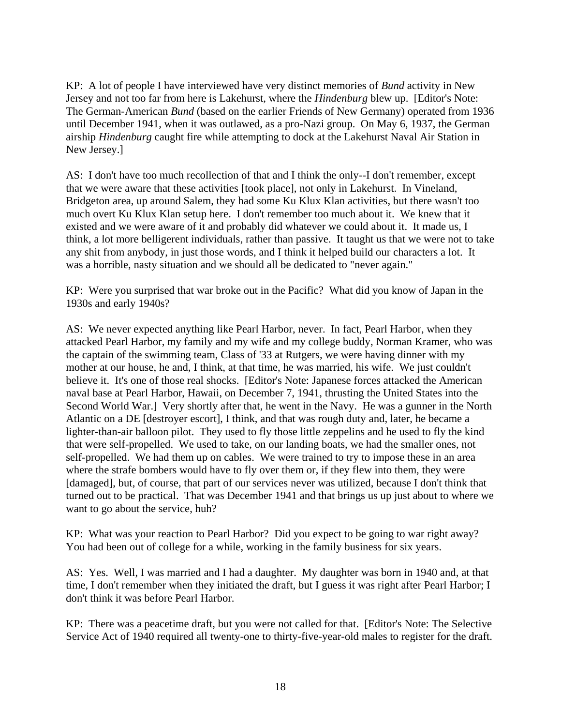KP: A lot of people I have interviewed have very distinct memories of *Bund* activity in New Jersey and not too far from here is Lakehurst, where the *Hindenburg* blew up. [Editor's Note: The German-American *Bund* (based on the earlier Friends of New Germany) operated from 1936 until December 1941, when it was outlawed, as a pro-Nazi group. On May 6, 1937, the German airship *Hindenburg* caught fire while attempting to dock at the Lakehurst Naval Air Station in New Jersey.]

AS: I don't have too much recollection of that and I think the only--I don't remember, except that we were aware that these activities [took place], not only in Lakehurst. In Vineland, Bridgeton area, up around Salem, they had some Ku Klux Klan activities, but there wasn't too much overt Ku Klux Klan setup here. I don't remember too much about it. We knew that it existed and we were aware of it and probably did whatever we could about it. It made us, I think, a lot more belligerent individuals, rather than passive. It taught us that we were not to take any shit from anybody, in just those words, and I think it helped build our characters a lot. It was a horrible, nasty situation and we should all be dedicated to "never again."

KP: Were you surprised that war broke out in the Pacific? What did you know of Japan in the 1930s and early 1940s?

AS: We never expected anything like Pearl Harbor, never. In fact, Pearl Harbor, when they attacked Pearl Harbor, my family and my wife and my college buddy, Norman Kramer, who was the captain of the swimming team, Class of '33 at Rutgers, we were having dinner with my mother at our house, he and, I think, at that time, he was married, his wife. We just couldn't believe it. It's one of those real shocks. [Editor's Note: Japanese forces attacked the American naval base at Pearl Harbor, Hawaii, on December 7, 1941, thrusting the United States into the Second World War.] Very shortly after that, he went in the Navy. He was a gunner in the North Atlantic on a DE [destroyer escort], I think, and that was rough duty and, later, he became a lighter-than-air balloon pilot. They used to fly those little zeppelins and he used to fly the kind that were self-propelled. We used to take, on our landing boats, we had the smaller ones, not self-propelled. We had them up on cables. We were trained to try to impose these in an area where the strafe bombers would have to fly over them or, if they flew into them, they were [damaged], but, of course, that part of our services never was utilized, because I don't think that turned out to be practical. That was December 1941 and that brings us up just about to where we want to go about the service, huh?

KP: What was your reaction to Pearl Harbor? Did you expect to be going to war right away? You had been out of college for a while, working in the family business for six years.

AS: Yes. Well, I was married and I had a daughter. My daughter was born in 1940 and, at that time, I don't remember when they initiated the draft, but I guess it was right after Pearl Harbor; I don't think it was before Pearl Harbor.

KP: There was a peacetime draft, but you were not called for that. [Editor's Note: The Selective Service Act of 1940 required all twenty-one to thirty-five-year-old males to register for the draft.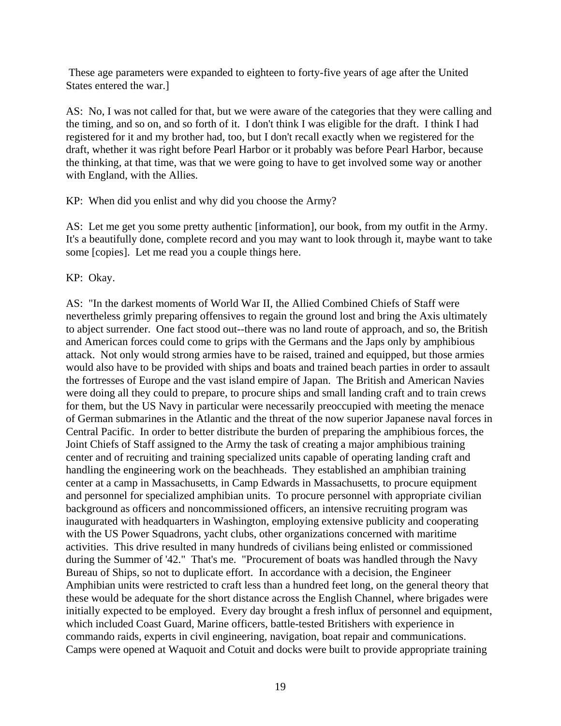These age parameters were expanded to eighteen to forty-five years of age after the United States entered the war.]

AS: No, I was not called for that, but we were aware of the categories that they were calling and the timing, and so on, and so forth of it. I don't think I was eligible for the draft. I think I had registered for it and my brother had, too, but I don't recall exactly when we registered for the draft, whether it was right before Pearl Harbor or it probably was before Pearl Harbor, because the thinking, at that time, was that we were going to have to get involved some way or another with England, with the Allies.

KP: When did you enlist and why did you choose the Army?

AS: Let me get you some pretty authentic [information], our book, from my outfit in the Army. It's a beautifully done, complete record and you may want to look through it, maybe want to take some [copies]. Let me read you a couple things here.

KP: Okay.

AS: "In the darkest moments of World War II, the Allied Combined Chiefs of Staff were nevertheless grimly preparing offensives to regain the ground lost and bring the Axis ultimately to abject surrender. One fact stood out--there was no land route of approach, and so, the British and American forces could come to grips with the Germans and the Japs only by amphibious attack. Not only would strong armies have to be raised, trained and equipped, but those armies would also have to be provided with ships and boats and trained beach parties in order to assault the fortresses of Europe and the vast island empire of Japan. The British and American Navies were doing all they could to prepare, to procure ships and small landing craft and to train crews for them, but the US Navy in particular were necessarily preoccupied with meeting the menace of German submarines in the Atlantic and the threat of the now superior Japanese naval forces in Central Pacific. In order to better distribute the burden of preparing the amphibious forces, the Joint Chiefs of Staff assigned to the Army the task of creating a major amphibious training center and of recruiting and training specialized units capable of operating landing craft and handling the engineering work on the beachheads. They established an amphibian training center at a camp in Massachusetts, in Camp Edwards in Massachusetts, to procure equipment and personnel for specialized amphibian units. To procure personnel with appropriate civilian background as officers and noncommissioned officers, an intensive recruiting program was inaugurated with headquarters in Washington, employing extensive publicity and cooperating with the US Power Squadrons, yacht clubs, other organizations concerned with maritime activities. This drive resulted in many hundreds of civilians being enlisted or commissioned during the Summer of '42." That's me. "Procurement of boats was handled through the Navy Bureau of Ships, so not to duplicate effort. In accordance with a decision, the Engineer Amphibian units were restricted to craft less than a hundred feet long, on the general theory that these would be adequate for the short distance across the English Channel, where brigades were initially expected to be employed. Every day brought a fresh influx of personnel and equipment, which included Coast Guard, Marine officers, battle-tested Britishers with experience in commando raids, experts in civil engineering, navigation, boat repair and communications. Camps were opened at Waquoit and Cotuit and docks were built to provide appropriate training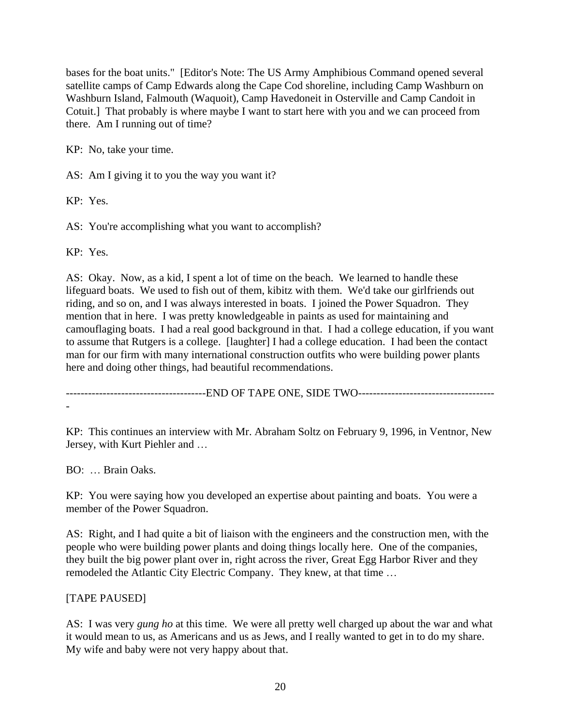bases for the boat units." [Editor's Note: The US Army Amphibious Command opened several satellite camps of Camp Edwards along the Cape Cod shoreline, including Camp Washburn on Washburn Island, Falmouth (Waquoit), Camp Havedoneit in Osterville and Camp Candoit in Cotuit.] That probably is where maybe I want to start here with you and we can proceed from there. Am I running out of time?

KP: No, take your time.

AS: Am I giving it to you the way you want it?

KP: Yes.

AS: You're accomplishing what you want to accomplish?

KP: Yes.

AS: Okay. Now, as a kid, I spent a lot of time on the beach. We learned to handle these lifeguard boats. We used to fish out of them, kibitz with them. We'd take our girlfriends out riding, and so on, and I was always interested in boats. I joined the Power Squadron. They mention that in here. I was pretty knowledgeable in paints as used for maintaining and camouflaging boats. I had a real good background in that. I had a college education, if you want to assume that Rutgers is a college. [laughter] I had a college education. I had been the contact man for our firm with many international construction outfits who were building power plants here and doing other things, had beautiful recommendations.

---------------------------END OF TAPE ONE, SIDE TWO------------------------------------

KP: This continues an interview with Mr. Abraham Soltz on February 9, 1996, in Ventnor, New Jersey, with Kurt Piehler and …

BO: … Brain Oaks.

KP: You were saying how you developed an expertise about painting and boats. You were a member of the Power Squadron.

AS: Right, and I had quite a bit of liaison with the engineers and the construction men, with the people who were building power plants and doing things locally here. One of the companies, they built the big power plant over in, right across the river, Great Egg Harbor River and they remodeled the Atlantic City Electric Company. They knew, at that time …

## [TAPE PAUSED]

AS: I was very *gung ho* at this time. We were all pretty well charged up about the war and what it would mean to us, as Americans and us as Jews, and I really wanted to get in to do my share. My wife and baby were not very happy about that.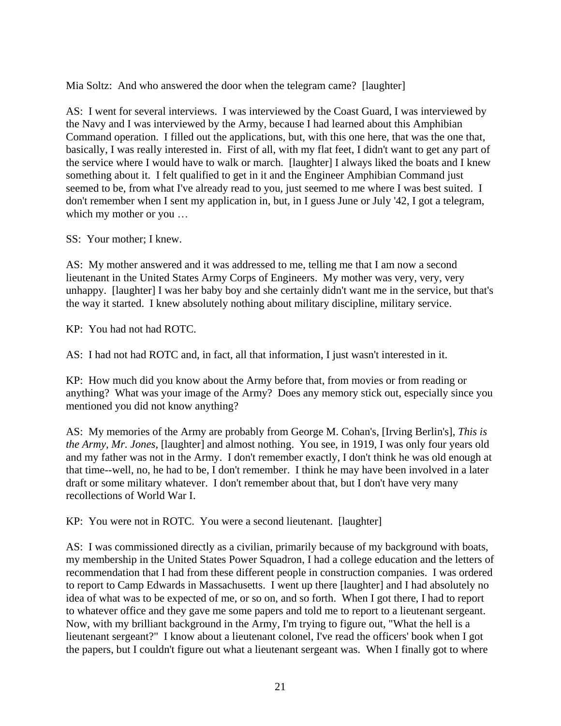Mia Soltz: And who answered the door when the telegram came? [laughter]

AS: I went for several interviews. I was interviewed by the Coast Guard, I was interviewed by the Navy and I was interviewed by the Army, because I had learned about this Amphibian Command operation. I filled out the applications, but, with this one here, that was the one that, basically, I was really interested in. First of all, with my flat feet, I didn't want to get any part of the service where I would have to walk or march. [laughter] I always liked the boats and I knew something about it. I felt qualified to get in it and the Engineer Amphibian Command just seemed to be, from what I've already read to you, just seemed to me where I was best suited. I don't remember when I sent my application in, but, in I guess June or July '42, I got a telegram, which my mother or you …

SS: Your mother; I knew.

AS: My mother answered and it was addressed to me, telling me that I am now a second lieutenant in the United States Army Corps of Engineers. My mother was very, very, very unhappy. [laughter] I was her baby boy and she certainly didn't want me in the service, but that's the way it started. I knew absolutely nothing about military discipline, military service.

KP: You had not had ROTC.

AS: I had not had ROTC and, in fact, all that information, I just wasn't interested in it.

KP: How much did you know about the Army before that, from movies or from reading or anything? What was your image of the Army? Does any memory stick out, especially since you mentioned you did not know anything?

AS: My memories of the Army are probably from George M. Cohan's, [Irving Berlin's], *This is the Army, Mr. Jones*, [laughter] and almost nothing. You see, in 1919, I was only four years old and my father was not in the Army. I don't remember exactly, I don't think he was old enough at that time--well, no, he had to be, I don't remember. I think he may have been involved in a later draft or some military whatever. I don't remember about that, but I don't have very many recollections of World War I.

KP: You were not in ROTC. You were a second lieutenant. [laughter]

AS: I was commissioned directly as a civilian, primarily because of my background with boats, my membership in the United States Power Squadron, I had a college education and the letters of recommendation that I had from these different people in construction companies. I was ordered to report to Camp Edwards in Massachusetts. I went up there [laughter] and I had absolutely no idea of what was to be expected of me, or so on, and so forth. When I got there, I had to report to whatever office and they gave me some papers and told me to report to a lieutenant sergeant. Now, with my brilliant background in the Army, I'm trying to figure out, "What the hell is a lieutenant sergeant?" I know about a lieutenant colonel, I've read the officers' book when I got the papers, but I couldn't figure out what a lieutenant sergeant was. When I finally got to where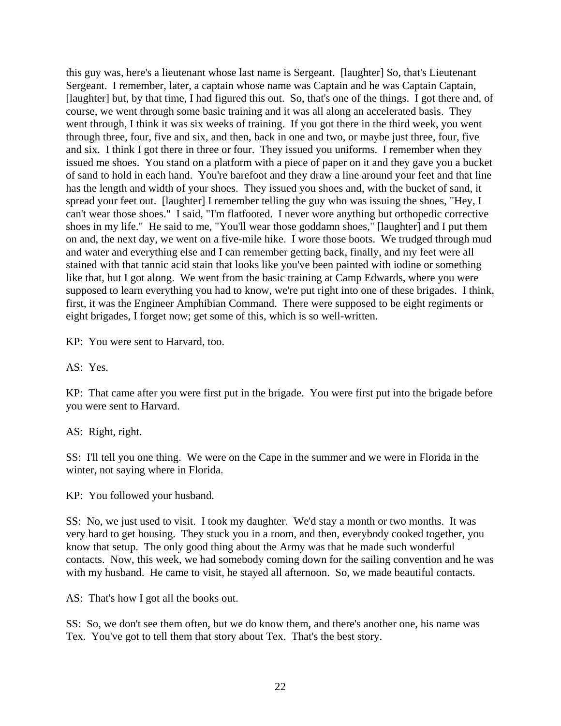this guy was, here's a lieutenant whose last name is Sergeant. [laughter] So, that's Lieutenant Sergeant. I remember, later, a captain whose name was Captain and he was Captain Captain, [laughter] but, by that time, I had figured this out. So, that's one of the things. I got there and, of course, we went through some basic training and it was all along an accelerated basis. They went through, I think it was six weeks of training. If you got there in the third week, you went through three, four, five and six, and then, back in one and two, or maybe just three, four, five and six. I think I got there in three or four. They issued you uniforms. I remember when they issued me shoes. You stand on a platform with a piece of paper on it and they gave you a bucket of sand to hold in each hand. You're barefoot and they draw a line around your feet and that line has the length and width of your shoes. They issued you shoes and, with the bucket of sand, it spread your feet out. [laughter] I remember telling the guy who was issuing the shoes, "Hey, I can't wear those shoes." I said, "I'm flatfooted. I never wore anything but orthopedic corrective shoes in my life." He said to me, "You'll wear those goddamn shoes," [laughter] and I put them on and, the next day, we went on a five-mile hike. I wore those boots. We trudged through mud and water and everything else and I can remember getting back, finally, and my feet were all stained with that tannic acid stain that looks like you've been painted with iodine or something like that, but I got along. We went from the basic training at Camp Edwards, where you were supposed to learn everything you had to know, we're put right into one of these brigades. I think, first, it was the Engineer Amphibian Command. There were supposed to be eight regiments or eight brigades, I forget now; get some of this, which is so well-written.

KP: You were sent to Harvard, too.

AS: Yes.

KP: That came after you were first put in the brigade. You were first put into the brigade before you were sent to Harvard.

AS: Right, right.

SS: I'll tell you one thing. We were on the Cape in the summer and we were in Florida in the winter, not saying where in Florida.

KP: You followed your husband.

SS: No, we just used to visit. I took my daughter. We'd stay a month or two months. It was very hard to get housing. They stuck you in a room, and then, everybody cooked together, you know that setup. The only good thing about the Army was that he made such wonderful contacts. Now, this week, we had somebody coming down for the sailing convention and he was with my husband. He came to visit, he stayed all afternoon. So, we made beautiful contacts.

AS: That's how I got all the books out.

SS: So, we don't see them often, but we do know them, and there's another one, his name was Tex. You've got to tell them that story about Tex. That's the best story.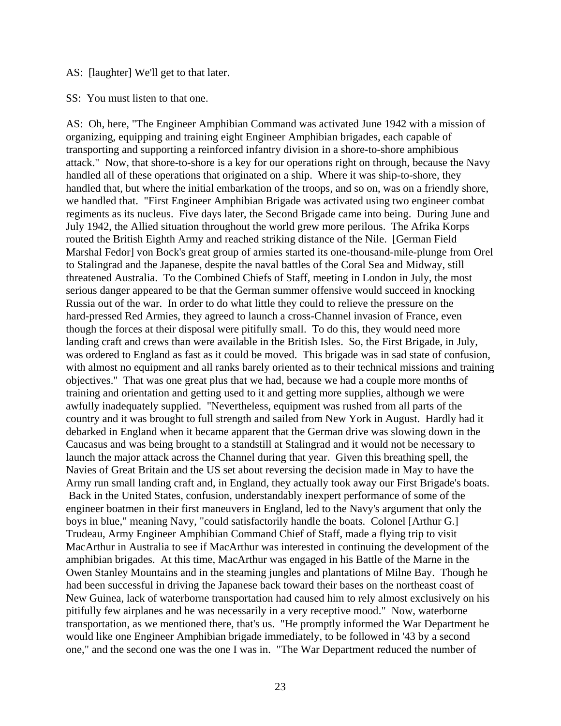#### AS: [laughter] We'll get to that later.

SS: You must listen to that one.

AS: Oh, here, "The Engineer Amphibian Command was activated June 1942 with a mission of organizing, equipping and training eight Engineer Amphibian brigades, each capable of transporting and supporting a reinforced infantry division in a shore-to-shore amphibious attack." Now, that shore-to-shore is a key for our operations right on through, because the Navy handled all of these operations that originated on a ship. Where it was ship-to-shore, they handled that, but where the initial embarkation of the troops, and so on, was on a friendly shore, we handled that. "First Engineer Amphibian Brigade was activated using two engineer combat regiments as its nucleus. Five days later, the Second Brigade came into being. During June and July 1942, the Allied situation throughout the world grew more perilous. The Afrika Korps routed the British Eighth Army and reached striking distance of the Nile. [German Field Marshal Fedor] von Bock's great group of armies started its one-thousand-mile-plunge from Orel to Stalingrad and the Japanese, despite the naval battles of the Coral Sea and Midway, still threatened Australia. To the Combined Chiefs of Staff, meeting in London in July, the most serious danger appeared to be that the German summer offensive would succeed in knocking Russia out of the war. In order to do what little they could to relieve the pressure on the hard-pressed Red Armies, they agreed to launch a cross-Channel invasion of France, even though the forces at their disposal were pitifully small. To do this, they would need more landing craft and crews than were available in the British Isles. So, the First Brigade, in July, was ordered to England as fast as it could be moved. This brigade was in sad state of confusion, with almost no equipment and all ranks barely oriented as to their technical missions and training objectives." That was one great plus that we had, because we had a couple more months of training and orientation and getting used to it and getting more supplies, although we were awfully inadequately supplied. "Nevertheless, equipment was rushed from all parts of the country and it was brought to full strength and sailed from New York in August. Hardly had it debarked in England when it became apparent that the German drive was slowing down in the Caucasus and was being brought to a standstill at Stalingrad and it would not be necessary to launch the major attack across the Channel during that year. Given this breathing spell, the Navies of Great Britain and the US set about reversing the decision made in May to have the Army run small landing craft and, in England, they actually took away our First Brigade's boats. Back in the United States, confusion, understandably inexpert performance of some of the engineer boatmen in their first maneuvers in England, led to the Navy's argument that only the boys in blue," meaning Navy, "could satisfactorily handle the boats. Colonel [Arthur G.] Trudeau, Army Engineer Amphibian Command Chief of Staff, made a flying trip to visit MacArthur in Australia to see if MacArthur was interested in continuing the development of the amphibian brigades. At this time, MacArthur was engaged in his Battle of the Marne in the Owen Stanley Mountains and in the steaming jungles and plantations of Milne Bay. Though he had been successful in driving the Japanese back toward their bases on the northeast coast of New Guinea, lack of waterborne transportation had caused him to rely almost exclusively on his pitifully few airplanes and he was necessarily in a very receptive mood." Now, waterborne transportation, as we mentioned there, that's us. "He promptly informed the War Department he would like one Engineer Amphibian brigade immediately, to be followed in '43 by a second one," and the second one was the one I was in. "The War Department reduced the number of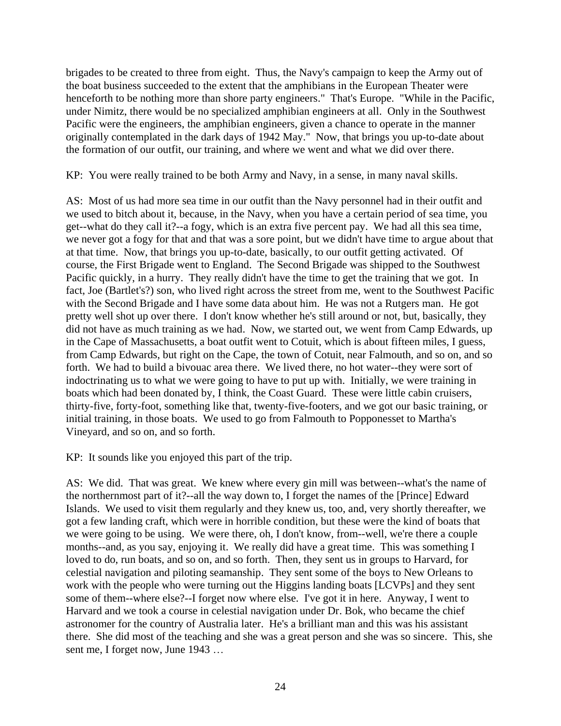brigades to be created to three from eight. Thus, the Navy's campaign to keep the Army out of the boat business succeeded to the extent that the amphibians in the European Theater were henceforth to be nothing more than shore party engineers." That's Europe. "While in the Pacific, under Nimitz, there would be no specialized amphibian engineers at all. Only in the Southwest Pacific were the engineers, the amphibian engineers, given a chance to operate in the manner originally contemplated in the dark days of 1942 May." Now, that brings you up-to-date about the formation of our outfit, our training, and where we went and what we did over there.

KP: You were really trained to be both Army and Navy, in a sense, in many naval skills.

AS: Most of us had more sea time in our outfit than the Navy personnel had in their outfit and we used to bitch about it, because, in the Navy, when you have a certain period of sea time, you get--what do they call it?--a fogy, which is an extra five percent pay. We had all this sea time, we never got a fogy for that and that was a sore point, but we didn't have time to argue about that at that time. Now, that brings you up-to-date, basically, to our outfit getting activated. Of course, the First Brigade went to England. The Second Brigade was shipped to the Southwest Pacific quickly, in a hurry. They really didn't have the time to get the training that we got. In fact, Joe (Bartlet's?) son, who lived right across the street from me, went to the Southwest Pacific with the Second Brigade and I have some data about him. He was not a Rutgers man. He got pretty well shot up over there. I don't know whether he's still around or not, but, basically, they did not have as much training as we had. Now, we started out, we went from Camp Edwards, up in the Cape of Massachusetts, a boat outfit went to Cotuit, which is about fifteen miles, I guess, from Camp Edwards, but right on the Cape, the town of Cotuit, near Falmouth, and so on, and so forth. We had to build a bivouac area there. We lived there, no hot water--they were sort of indoctrinating us to what we were going to have to put up with. Initially, we were training in boats which had been donated by, I think, the Coast Guard. These were little cabin cruisers, thirty-five, forty-foot, something like that, twenty-five-footers, and we got our basic training, or initial training, in those boats. We used to go from Falmouth to Popponesset to Martha's Vineyard, and so on, and so forth.

KP: It sounds like you enjoyed this part of the trip.

AS: We did. That was great. We knew where every gin mill was between--what's the name of the northernmost part of it?--all the way down to, I forget the names of the [Prince] Edward Islands. We used to visit them regularly and they knew us, too, and, very shortly thereafter, we got a few landing craft, which were in horrible condition, but these were the kind of boats that we were going to be using. We were there, oh, I don't know, from--well, we're there a couple months--and, as you say, enjoying it. We really did have a great time. This was something I loved to do, run boats, and so on, and so forth. Then, they sent us in groups to Harvard, for celestial navigation and piloting seamanship. They sent some of the boys to New Orleans to work with the people who were turning out the Higgins landing boats [LCVPs] and they sent some of them--where else?--I forget now where else. I've got it in here. Anyway, I went to Harvard and we took a course in celestial navigation under Dr. Bok, who became the chief astronomer for the country of Australia later. He's a brilliant man and this was his assistant there. She did most of the teaching and she was a great person and she was so sincere. This, she sent me, I forget now, June 1943 …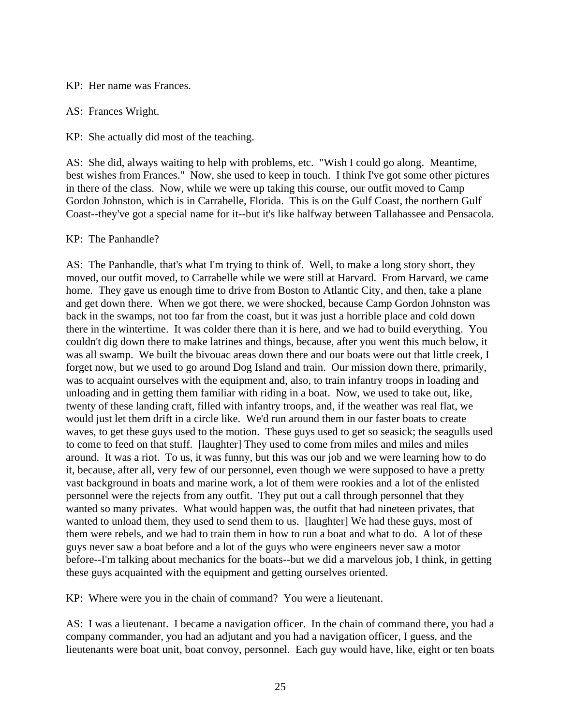KP: Her name was Frances.

AS: Frances Wright.

KP: She actually did most of the teaching.

AS: She did, always waiting to help with problems, etc. "Wish I could go along. Meantime, best wishes from Frances." Now, she used to keep in touch. I think I've got some other pictures in there of the class. Now, while we were up taking this course, our outfit moved to Camp Gordon Johnston, which is in Carrabelle, Florida. This is on the Gulf Coast, the northern Gulf Coast--they've got a special name for it--but it's like halfway between Tallahassee and Pensacola.

KP: The Panhandle?

AS: The Panhandle, that's what I'm trying to think of. Well, to make a long story short, they moved, our outfit moved, to Carrabelle while we were still at Harvard. From Harvard, we came home. They gave us enough time to drive from Boston to Atlantic City, and then, take a plane and get down there. When we got there, we were shocked, because Camp Gordon Johnston was back in the swamps, not too far from the coast, but it was just a horrible place and cold down there in the wintertime. It was colder there than it is here, and we had to build everything. You couldn't dig down there to make latrines and things, because, after you went this much below, it was all swamp. We built the bivouac areas down there and our boats were out that little creek, I forget now, but we used to go around Dog Island and train. Our mission down there, primarily, was to acquaint ourselves with the equipment and, also, to train infantry troops in loading and unloading and in getting them familiar with riding in a boat. Now, we used to take out, like, twenty of these landing craft, filled with infantry troops, and, if the weather was real flat, we would just let them drift in a circle like. We'd run around them in our faster boats to create waves, to get these guys used to the motion. These guys used to get so seasick; the seagulls used to come to feed on that stuff. [laughter] They used to come from miles and miles and miles around. It was a riot. To us, it was funny, but this was our job and we were learning how to do it, because, after all, very few of our personnel, even though we were supposed to have a pretty vast background in boats and marine work, a lot of them were rookies and a lot of the enlisted personnel were the rejects from any outfit. They put out a call through personnel that they wanted so many privates. What would happen was, the outfit that had nineteen privates, that wanted to unload them, they used to send them to us. [laughter] We had these guys, most of them were rebels, and we had to train them in how to run a boat and what to do. A lot of these guys never saw a boat before and a lot of the guys who were engineers never saw a motor before--I'm talking about mechanics for the boats--but we did a marvelous job, I think, in getting these guys acquainted with the equipment and getting ourselves oriented.

KP: Where were you in the chain of command? You were a lieutenant.

AS: I was a lieutenant. I became a navigation officer. In the chain of command there, you had a company commander, you had an adjutant and you had a navigation officer, I guess, and the lieutenants were boat unit, boat convoy, personnel. Each guy would have, like, eight or ten boats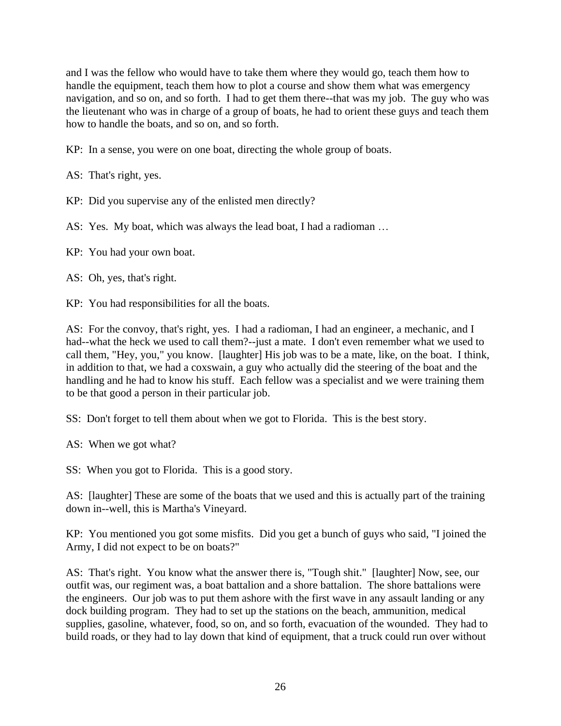and I was the fellow who would have to take them where they would go, teach them how to handle the equipment, teach them how to plot a course and show them what was emergency navigation, and so on, and so forth. I had to get them there--that was my job. The guy who was the lieutenant who was in charge of a group of boats, he had to orient these guys and teach them how to handle the boats, and so on, and so forth.

KP: In a sense, you were on one boat, directing the whole group of boats.

AS: That's right, yes.

KP: Did you supervise any of the enlisted men directly?

AS: Yes. My boat, which was always the lead boat, I had a radioman …

KP: You had your own boat.

AS: Oh, yes, that's right.

KP: You had responsibilities for all the boats.

AS: For the convoy, that's right, yes. I had a radioman, I had an engineer, a mechanic, and I had--what the heck we used to call them?--just a mate. I don't even remember what we used to call them, "Hey, you," you know. [laughter] His job was to be a mate, like, on the boat. I think, in addition to that, we had a coxswain, a guy who actually did the steering of the boat and the handling and he had to know his stuff. Each fellow was a specialist and we were training them to be that good a person in their particular job.

SS: Don't forget to tell them about when we got to Florida. This is the best story.

AS: When we got what?

SS: When you got to Florida. This is a good story.

AS: [laughter] These are some of the boats that we used and this is actually part of the training down in--well, this is Martha's Vineyard.

KP: You mentioned you got some misfits. Did you get a bunch of guys who said, "I joined the Army, I did not expect to be on boats?"

AS: That's right. You know what the answer there is, "Tough shit." [laughter] Now, see, our outfit was, our regiment was, a boat battalion and a shore battalion. The shore battalions were the engineers. Our job was to put them ashore with the first wave in any assault landing or any dock building program. They had to set up the stations on the beach, ammunition, medical supplies, gasoline, whatever, food, so on, and so forth, evacuation of the wounded. They had to build roads, or they had to lay down that kind of equipment, that a truck could run over without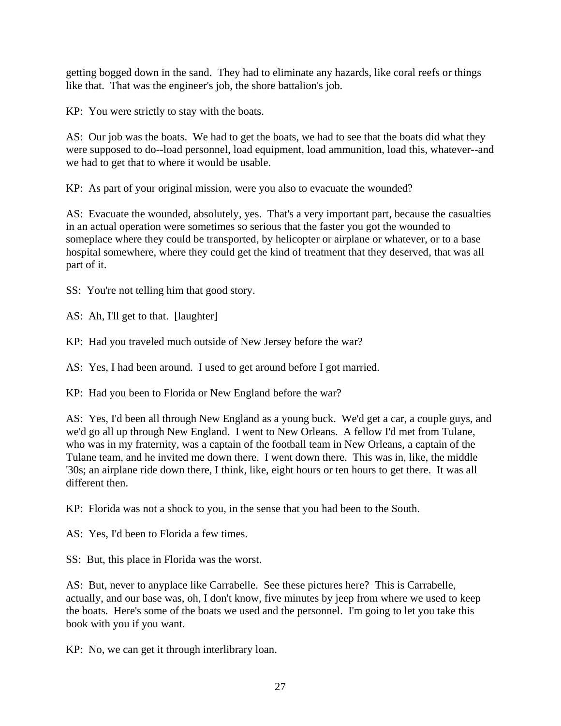getting bogged down in the sand. They had to eliminate any hazards, like coral reefs or things like that. That was the engineer's job, the shore battalion's job.

KP: You were strictly to stay with the boats.

AS: Our job was the boats. We had to get the boats, we had to see that the boats did what they were supposed to do--load personnel, load equipment, load ammunition, load this, whatever--and we had to get that to where it would be usable.

KP: As part of your original mission, were you also to evacuate the wounded?

AS: Evacuate the wounded, absolutely, yes. That's a very important part, because the casualties in an actual operation were sometimes so serious that the faster you got the wounded to someplace where they could be transported, by helicopter or airplane or whatever, or to a base hospital somewhere, where they could get the kind of treatment that they deserved, that was all part of it.

SS: You're not telling him that good story.

AS: Ah, I'll get to that. [laughter]

KP: Had you traveled much outside of New Jersey before the war?

AS: Yes, I had been around. I used to get around before I got married.

KP: Had you been to Florida or New England before the war?

AS: Yes, I'd been all through New England as a young buck. We'd get a car, a couple guys, and we'd go all up through New England. I went to New Orleans. A fellow I'd met from Tulane, who was in my fraternity, was a captain of the football team in New Orleans, a captain of the Tulane team, and he invited me down there. I went down there. This was in, like, the middle '30s; an airplane ride down there, I think, like, eight hours or ten hours to get there. It was all different then.

KP: Florida was not a shock to you, in the sense that you had been to the South.

AS: Yes, I'd been to Florida a few times.

SS: But, this place in Florida was the worst.

AS: But, never to anyplace like Carrabelle. See these pictures here? This is Carrabelle, actually, and our base was, oh, I don't know, five minutes by jeep from where we used to keep the boats. Here's some of the boats we used and the personnel. I'm going to let you take this book with you if you want.

KP: No, we can get it through interlibrary loan.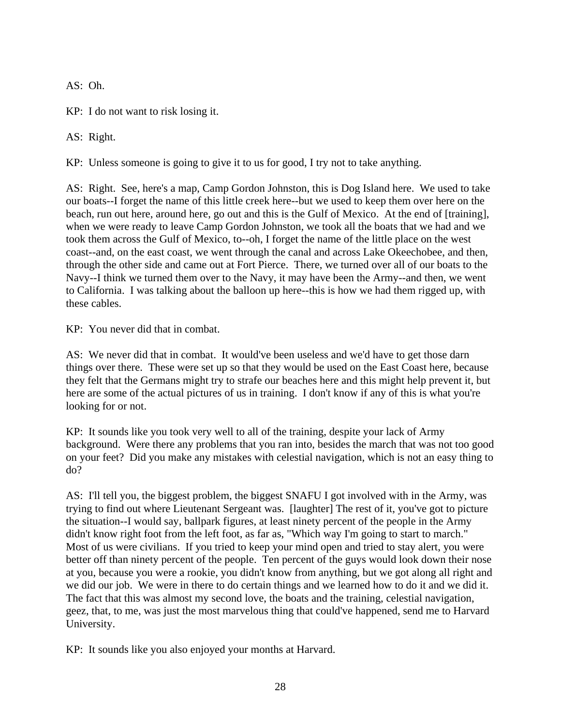AS: Oh.

KP: I do not want to risk losing it.

AS: Right.

KP: Unless someone is going to give it to us for good, I try not to take anything.

AS: Right. See, here's a map, Camp Gordon Johnston, this is Dog Island here. We used to take our boats--I forget the name of this little creek here--but we used to keep them over here on the beach, run out here, around here, go out and this is the Gulf of Mexico. At the end of [training], when we were ready to leave Camp Gordon Johnston, we took all the boats that we had and we took them across the Gulf of Mexico, to--oh, I forget the name of the little place on the west coast--and, on the east coast, we went through the canal and across Lake Okeechobee, and then, through the other side and came out at Fort Pierce. There, we turned over all of our boats to the Navy--I think we turned them over to the Navy, it may have been the Army--and then, we went to California. I was talking about the balloon up here--this is how we had them rigged up, with these cables.

KP: You never did that in combat.

AS: We never did that in combat. It would've been useless and we'd have to get those darn things over there. These were set up so that they would be used on the East Coast here, because they felt that the Germans might try to strafe our beaches here and this might help prevent it, but here are some of the actual pictures of us in training. I don't know if any of this is what you're looking for or not.

KP: It sounds like you took very well to all of the training, despite your lack of Army background. Were there any problems that you ran into, besides the march that was not too good on your feet? Did you make any mistakes with celestial navigation, which is not an easy thing to do?

AS: I'll tell you, the biggest problem, the biggest SNAFU I got involved with in the Army, was trying to find out where Lieutenant Sergeant was. [laughter] The rest of it, you've got to picture the situation--I would say, ballpark figures, at least ninety percent of the people in the Army didn't know right foot from the left foot, as far as, "Which way I'm going to start to march." Most of us were civilians. If you tried to keep your mind open and tried to stay alert, you were better off than ninety percent of the people. Ten percent of the guys would look down their nose at you, because you were a rookie, you didn't know from anything, but we got along all right and we did our job. We were in there to do certain things and we learned how to do it and we did it. The fact that this was almost my second love, the boats and the training, celestial navigation, geez, that, to me, was just the most marvelous thing that could've happened, send me to Harvard University.

KP: It sounds like you also enjoyed your months at Harvard.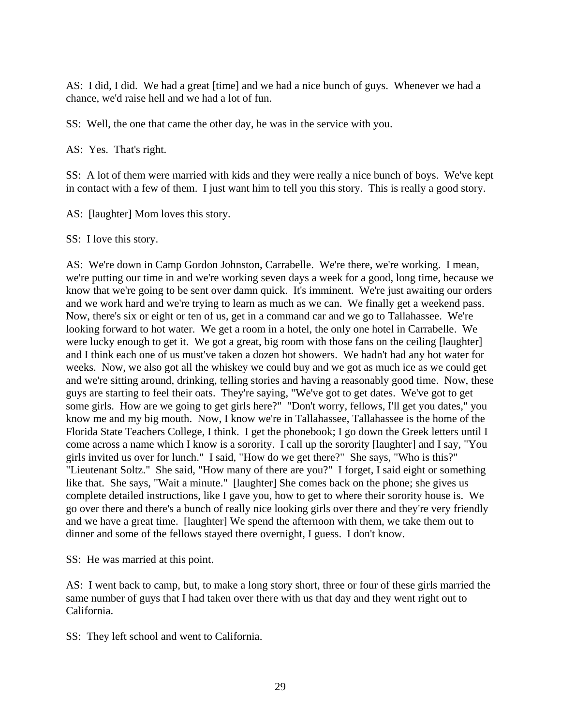AS: I did, I did. We had a great [time] and we had a nice bunch of guys. Whenever we had a chance, we'd raise hell and we had a lot of fun.

SS: Well, the one that came the other day, he was in the service with you.

AS: Yes. That's right.

SS: A lot of them were married with kids and they were really a nice bunch of boys. We've kept in contact with a few of them. I just want him to tell you this story. This is really a good story.

AS: [laughter] Mom loves this story.

SS: I love this story.

AS: We're down in Camp Gordon Johnston, Carrabelle. We're there, we're working. I mean, we're putting our time in and we're working seven days a week for a good, long time, because we know that we're going to be sent over damn quick. It's imminent. We're just awaiting our orders and we work hard and we're trying to learn as much as we can. We finally get a weekend pass. Now, there's six or eight or ten of us, get in a command car and we go to Tallahassee. We're looking forward to hot water. We get a room in a hotel, the only one hotel in Carrabelle. We were lucky enough to get it. We got a great, big room with those fans on the ceiling [laughter] and I think each one of us must've taken a dozen hot showers. We hadn't had any hot water for weeks. Now, we also got all the whiskey we could buy and we got as much ice as we could get and we're sitting around, drinking, telling stories and having a reasonably good time. Now, these guys are starting to feel their oats. They're saying, "We've got to get dates. We've got to get some girls. How are we going to get girls here?" "Don't worry, fellows, I'll get you dates," you know me and my big mouth. Now, I know we're in Tallahassee, Tallahassee is the home of the Florida State Teachers College, I think. I get the phonebook; I go down the Greek letters until I come across a name which I know is a sorority. I call up the sorority [laughter] and I say, "You girls invited us over for lunch." I said, "How do we get there?" She says, "Who is this?" "Lieutenant Soltz." She said, "How many of there are you?" I forget, I said eight or something like that. She says, "Wait a minute." [laughter] She comes back on the phone; she gives us complete detailed instructions, like I gave you, how to get to where their sorority house is. We go over there and there's a bunch of really nice looking girls over there and they're very friendly and we have a great time. [laughter] We spend the afternoon with them, we take them out to dinner and some of the fellows stayed there overnight, I guess. I don't know.

SS: He was married at this point.

AS: I went back to camp, but, to make a long story short, three or four of these girls married the same number of guys that I had taken over there with us that day and they went right out to California.

SS: They left school and went to California.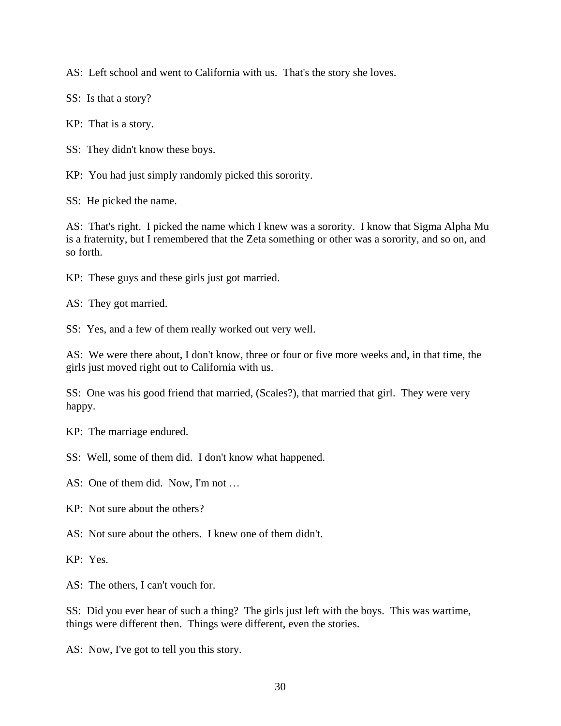AS: Left school and went to California with us. That's the story she loves.

SS: Is that a story?

KP: That is a story.

SS: They didn't know these boys.

KP: You had just simply randomly picked this sorority.

SS: He picked the name.

AS: That's right. I picked the name which I knew was a sorority. I know that Sigma Alpha Mu is a fraternity, but I remembered that the Zeta something or other was a sorority, and so on, and so forth.

KP: These guys and these girls just got married.

AS: They got married.

SS: Yes, and a few of them really worked out very well.

AS: We were there about, I don't know, three or four or five more weeks and, in that time, the girls just moved right out to California with us.

SS: One was his good friend that married, (Scales?), that married that girl. They were very happy.

KP: The marriage endured.

SS: Well, some of them did. I don't know what happened.

AS: One of them did. Now, I'm not …

KP: Not sure about the others?

AS: Not sure about the others. I knew one of them didn't.

KP: Yes.

AS: The others, I can't vouch for.

SS: Did you ever hear of such a thing? The girls just left with the boys. This was wartime, things were different then. Things were different, even the stories.

AS: Now, I've got to tell you this story.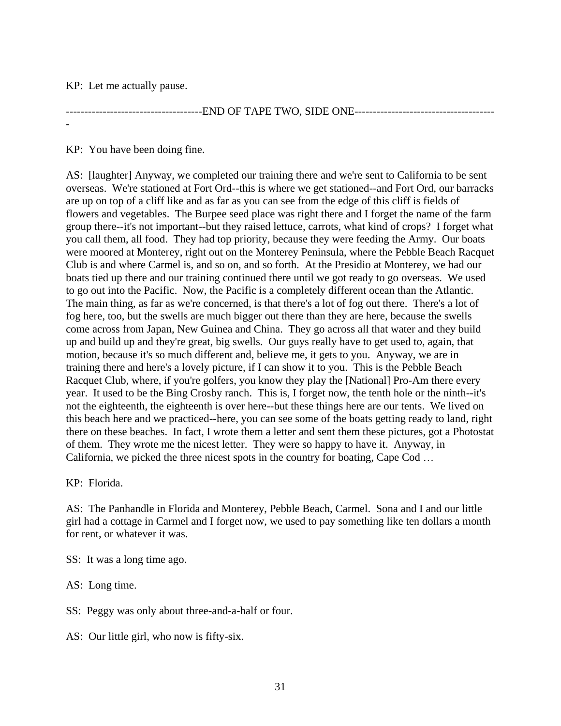KP: Let me actually pause.

-

-----------------------END OF TAPE TWO, SIDE ONE--------------------------------

KP: You have been doing fine.

AS: [laughter] Anyway, we completed our training there and we're sent to California to be sent overseas. We're stationed at Fort Ord--this is where we get stationed--and Fort Ord, our barracks are up on top of a cliff like and as far as you can see from the edge of this cliff is fields of flowers and vegetables. The Burpee seed place was right there and I forget the name of the farm group there--it's not important--but they raised lettuce, carrots, what kind of crops? I forget what you call them, all food. They had top priority, because they were feeding the Army. Our boats were moored at Monterey, right out on the Monterey Peninsula, where the Pebble Beach Racquet Club is and where Carmel is, and so on, and so forth. At the Presidio at Monterey, we had our boats tied up there and our training continued there until we got ready to go overseas. We used to go out into the Pacific. Now, the Pacific is a completely different ocean than the Atlantic. The main thing, as far as we're concerned, is that there's a lot of fog out there. There's a lot of fog here, too, but the swells are much bigger out there than they are here, because the swells come across from Japan, New Guinea and China. They go across all that water and they build up and build up and they're great, big swells. Our guys really have to get used to, again, that motion, because it's so much different and, believe me, it gets to you. Anyway, we are in training there and here's a lovely picture, if I can show it to you. This is the Pebble Beach Racquet Club, where, if you're golfers, you know they play the [National] Pro-Am there every year. It used to be the Bing Crosby ranch. This is, I forget now, the tenth hole or the ninth--it's not the eighteenth, the eighteenth is over here--but these things here are our tents. We lived on this beach here and we practiced--here, you can see some of the boats getting ready to land, right there on these beaches. In fact, I wrote them a letter and sent them these pictures, got a Photostat of them. They wrote me the nicest letter. They were so happy to have it. Anyway, in California, we picked the three nicest spots in the country for boating, Cape Cod …

KP: Florida.

AS: The Panhandle in Florida and Monterey, Pebble Beach, Carmel. Sona and I and our little girl had a cottage in Carmel and I forget now, we used to pay something like ten dollars a month for rent, or whatever it was.

SS: It was a long time ago.

AS: Long time.

SS: Peggy was only about three-and-a-half or four.

AS: Our little girl, who now is fifty-six.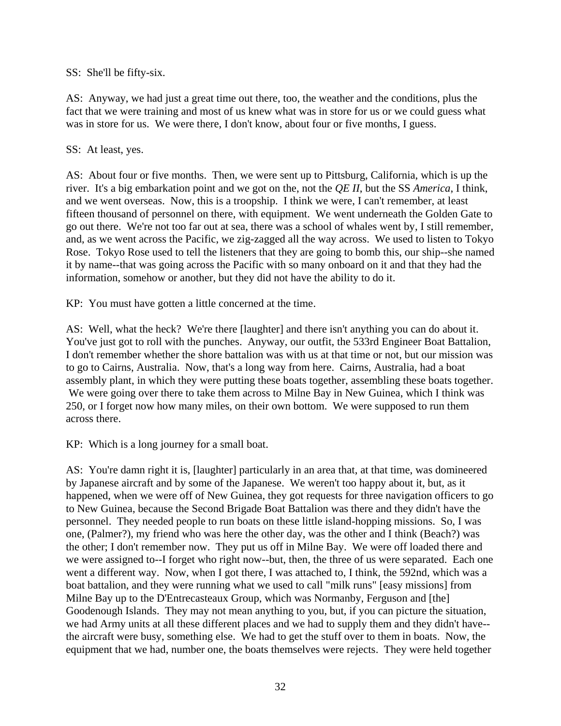SS: She'll be fifty-six.

AS: Anyway, we had just a great time out there, too, the weather and the conditions, plus the fact that we were training and most of us knew what was in store for us or we could guess what was in store for us. We were there, I don't know, about four or five months, I guess.

## SS: At least, yes.

AS: About four or five months. Then, we were sent up to Pittsburg, California, which is up the river. It's a big embarkation point and we got on the, not the *QE II*, but the SS *America*, I think, and we went overseas. Now, this is a troopship. I think we were, I can't remember, at least fifteen thousand of personnel on there, with equipment. We went underneath the Golden Gate to go out there. We're not too far out at sea, there was a school of whales went by, I still remember, and, as we went across the Pacific, we zig-zagged all the way across. We used to listen to Tokyo Rose. Tokyo Rose used to tell the listeners that they are going to bomb this, our ship--she named it by name--that was going across the Pacific with so many onboard on it and that they had the information, somehow or another, but they did not have the ability to do it.

KP: You must have gotten a little concerned at the time.

AS: Well, what the heck? We're there [laughter] and there isn't anything you can do about it. You've just got to roll with the punches. Anyway, our outfit, the 533rd Engineer Boat Battalion, I don't remember whether the shore battalion was with us at that time or not, but our mission was to go to Cairns, Australia. Now, that's a long way from here. Cairns, Australia, had a boat assembly plant, in which they were putting these boats together, assembling these boats together. We were going over there to take them across to Milne Bay in New Guinea, which I think was 250, or I forget now how many miles, on their own bottom. We were supposed to run them across there.

KP: Which is a long journey for a small boat.

AS: You're damn right it is, [laughter] particularly in an area that, at that time, was domineered by Japanese aircraft and by some of the Japanese. We weren't too happy about it, but, as it happened, when we were off of New Guinea, they got requests for three navigation officers to go to New Guinea, because the Second Brigade Boat Battalion was there and they didn't have the personnel. They needed people to run boats on these little island-hopping missions. So, I was one, (Palmer?), my friend who was here the other day, was the other and I think (Beach?) was the other; I don't remember now. They put us off in Milne Bay. We were off loaded there and we were assigned to--I forget who right now--but, then, the three of us were separated. Each one went a different way. Now, when I got there, I was attached to, I think, the 592nd, which was a boat battalion, and they were running what we used to call "milk runs" [easy missions] from Milne Bay up to the D'Entrecasteaux Group, which was Normanby, Ferguson and [the] Goodenough Islands. They may not mean anything to you, but, if you can picture the situation, we had Army units at all these different places and we had to supply them and they didn't have- the aircraft were busy, something else. We had to get the stuff over to them in boats. Now, the equipment that we had, number one, the boats themselves were rejects. They were held together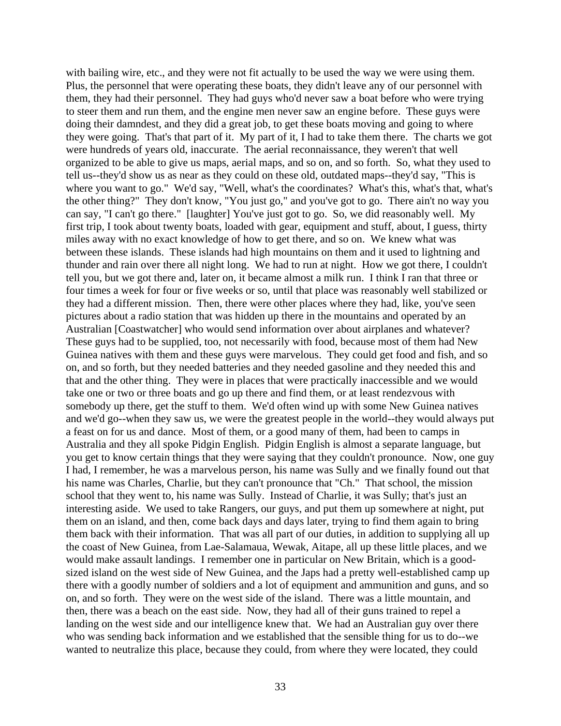with bailing wire, etc., and they were not fit actually to be used the way we were using them. Plus, the personnel that were operating these boats, they didn't leave any of our personnel with them, they had their personnel. They had guys who'd never saw a boat before who were trying to steer them and run them, and the engine men never saw an engine before. These guys were doing their damndest, and they did a great job, to get these boats moving and going to where they were going. That's that part of it. My part of it, I had to take them there. The charts we got were hundreds of years old, inaccurate. The aerial reconnaissance, they weren't that well organized to be able to give us maps, aerial maps, and so on, and so forth. So, what they used to tell us--they'd show us as near as they could on these old, outdated maps--they'd say, "This is where you want to go." We'd say, "Well, what's the coordinates? What's this, what's that, what's the other thing?" They don't know, "You just go," and you've got to go. There ain't no way you can say, "I can't go there." [laughter] You've just got to go. So, we did reasonably well. My first trip, I took about twenty boats, loaded with gear, equipment and stuff, about, I guess, thirty miles away with no exact knowledge of how to get there, and so on. We knew what was between these islands. These islands had high mountains on them and it used to lightning and thunder and rain over there all night long. We had to run at night. How we got there, I couldn't tell you, but we got there and, later on, it became almost a milk run. I think I ran that three or four times a week for four or five weeks or so, until that place was reasonably well stabilized or they had a different mission. Then, there were other places where they had, like, you've seen pictures about a radio station that was hidden up there in the mountains and operated by an Australian [Coastwatcher] who would send information over about airplanes and whatever? These guys had to be supplied, too, not necessarily with food, because most of them had New Guinea natives with them and these guys were marvelous. They could get food and fish, and so on, and so forth, but they needed batteries and they needed gasoline and they needed this and that and the other thing. They were in places that were practically inaccessible and we would take one or two or three boats and go up there and find them, or at least rendezvous with somebody up there, get the stuff to them. We'd often wind up with some New Guinea natives and we'd go--when they saw us, we were the greatest people in the world--they would always put a feast on for us and dance. Most of them, or a good many of them, had been to camps in Australia and they all spoke Pidgin English. Pidgin English is almost a separate language, but you get to know certain things that they were saying that they couldn't pronounce. Now, one guy I had, I remember, he was a marvelous person, his name was Sully and we finally found out that his name was Charles, Charlie, but they can't pronounce that "Ch." That school, the mission school that they went to, his name was Sully. Instead of Charlie, it was Sully; that's just an interesting aside. We used to take Rangers, our guys, and put them up somewhere at night, put them on an island, and then, come back days and days later, trying to find them again to bring them back with their information. That was all part of our duties, in addition to supplying all up the coast of New Guinea, from Lae-Salamaua, Wewak, Aitape, all up these little places, and we would make assault landings. I remember one in particular on New Britain, which is a goodsized island on the west side of New Guinea, and the Japs had a pretty well-established camp up there with a goodly number of soldiers and a lot of equipment and ammunition and guns, and so on, and so forth. They were on the west side of the island. There was a little mountain, and then, there was a beach on the east side. Now, they had all of their guns trained to repel a landing on the west side and our intelligence knew that. We had an Australian guy over there who was sending back information and we established that the sensible thing for us to do--we wanted to neutralize this place, because they could, from where they were located, they could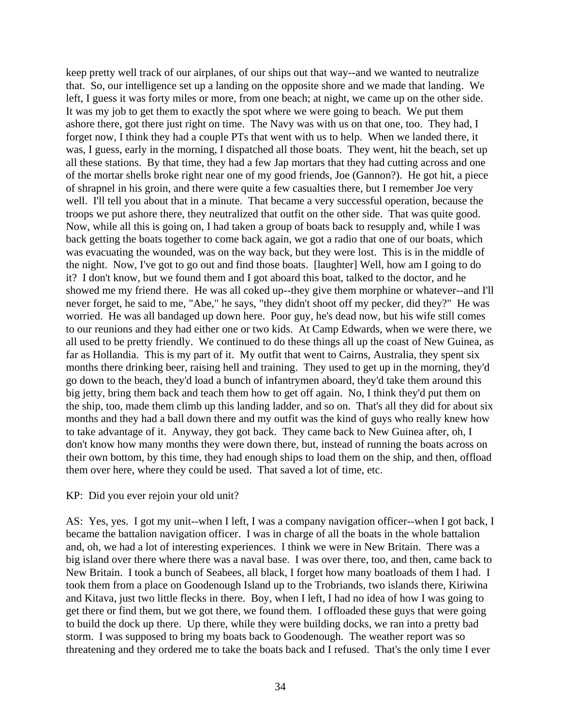keep pretty well track of our airplanes, of our ships out that way--and we wanted to neutralize that. So, our intelligence set up a landing on the opposite shore and we made that landing. We left, I guess it was forty miles or more, from one beach; at night, we came up on the other side. It was my job to get them to exactly the spot where we were going to beach. We put them ashore there, got there just right on time. The Navy was with us on that one, too. They had, I forget now, I think they had a couple PTs that went with us to help. When we landed there, it was, I guess, early in the morning, I dispatched all those boats. They went, hit the beach, set up all these stations. By that time, they had a few Jap mortars that they had cutting across and one of the mortar shells broke right near one of my good friends, Joe (Gannon?). He got hit, a piece of shrapnel in his groin, and there were quite a few casualties there, but I remember Joe very well. I'll tell you about that in a minute. That became a very successful operation, because the troops we put ashore there, they neutralized that outfit on the other side. That was quite good. Now, while all this is going on, I had taken a group of boats back to resupply and, while I was back getting the boats together to come back again, we got a radio that one of our boats, which was evacuating the wounded, was on the way back, but they were lost. This is in the middle of the night. Now, I've got to go out and find those boats. [laughter] Well, how am I going to do it? I don't know, but we found them and I got aboard this boat, talked to the doctor, and he showed me my friend there. He was all coked up--they give them morphine or whatever--and I'll never forget, he said to me, "Abe," he says, "they didn't shoot off my pecker, did they?" He was worried. He was all bandaged up down here. Poor guy, he's dead now, but his wife still comes to our reunions and they had either one or two kids. At Camp Edwards, when we were there, we all used to be pretty friendly. We continued to do these things all up the coast of New Guinea, as far as Hollandia. This is my part of it. My outfit that went to Cairns, Australia, they spent six months there drinking beer, raising hell and training. They used to get up in the morning, they'd go down to the beach, they'd load a bunch of infantrymen aboard, they'd take them around this big jetty, bring them back and teach them how to get off again. No, I think they'd put them on the ship, too, made them climb up this landing ladder, and so on. That's all they did for about six months and they had a ball down there and my outfit was the kind of guys who really knew how to take advantage of it. Anyway, they got back. They came back to New Guinea after, oh, I don't know how many months they were down there, but, instead of running the boats across on their own bottom, by this time, they had enough ships to load them on the ship, and then, offload them over here, where they could be used. That saved a lot of time, etc.

#### KP: Did you ever rejoin your old unit?

AS: Yes, yes. I got my unit--when I left, I was a company navigation officer--when I got back, I became the battalion navigation officer. I was in charge of all the boats in the whole battalion and, oh, we had a lot of interesting experiences. I think we were in New Britain. There was a big island over there where there was a naval base. I was over there, too, and then, came back to New Britain. I took a bunch of Seabees, all black, I forget how many boatloads of them I had. I took them from a place on Goodenough Island up to the Trobriands, two islands there, Kiriwina and Kitava, just two little flecks in there. Boy, when I left, I had no idea of how I was going to get there or find them, but we got there, we found them. I offloaded these guys that were going to build the dock up there. Up there, while they were building docks, we ran into a pretty bad storm. I was supposed to bring my boats back to Goodenough. The weather report was so threatening and they ordered me to take the boats back and I refused. That's the only time I ever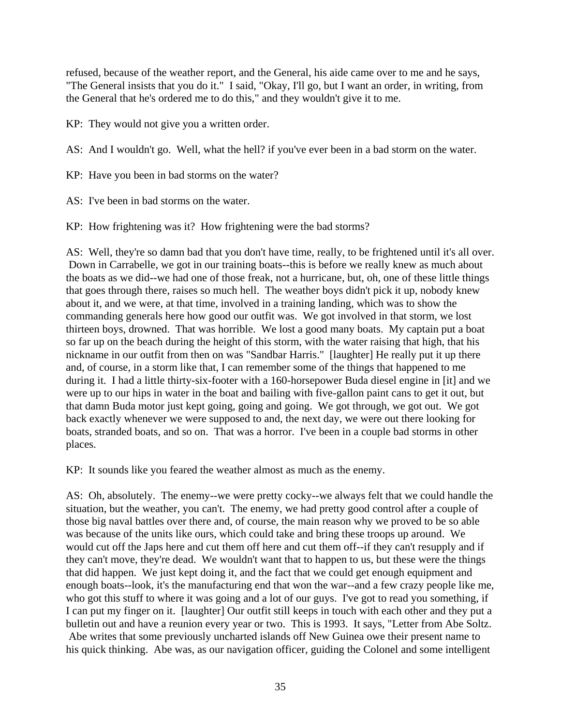refused, because of the weather report, and the General, his aide came over to me and he says, "The General insists that you do it." I said, "Okay, I'll go, but I want an order, in writing, from the General that he's ordered me to do this," and they wouldn't give it to me.

KP: They would not give you a written order.

AS: And I wouldn't go. Well, what the hell? if you've ever been in a bad storm on the water.

KP: Have you been in bad storms on the water?

AS: I've been in bad storms on the water.

KP: How frightening was it? How frightening were the bad storms?

AS: Well, they're so damn bad that you don't have time, really, to be frightened until it's all over. Down in Carrabelle, we got in our training boats--this is before we really knew as much about the boats as we did--we had one of those freak, not a hurricane, but, oh, one of these little things that goes through there, raises so much hell. The weather boys didn't pick it up, nobody knew about it, and we were, at that time, involved in a training landing, which was to show the commanding generals here how good our outfit was. We got involved in that storm, we lost thirteen boys, drowned. That was horrible. We lost a good many boats. My captain put a boat so far up on the beach during the height of this storm, with the water raising that high, that his nickname in our outfit from then on was "Sandbar Harris." [laughter] He really put it up there and, of course, in a storm like that, I can remember some of the things that happened to me during it. I had a little thirty-six-footer with a 160-horsepower Buda diesel engine in [it] and we were up to our hips in water in the boat and bailing with five-gallon paint cans to get it out, but that damn Buda motor just kept going, going and going. We got through, we got out. We got back exactly whenever we were supposed to and, the next day, we were out there looking for boats, stranded boats, and so on. That was a horror. I've been in a couple bad storms in other places.

KP: It sounds like you feared the weather almost as much as the enemy.

AS: Oh, absolutely. The enemy--we were pretty cocky--we always felt that we could handle the situation, but the weather, you can't. The enemy, we had pretty good control after a couple of those big naval battles over there and, of course, the main reason why we proved to be so able was because of the units like ours, which could take and bring these troops up around. We would cut off the Japs here and cut them off here and cut them off--if they can't resupply and if they can't move, they're dead. We wouldn't want that to happen to us, but these were the things that did happen. We just kept doing it, and the fact that we could get enough equipment and enough boats--look, it's the manufacturing end that won the war--and a few crazy people like me, who got this stuff to where it was going and a lot of our guys. I've got to read you something, if I can put my finger on it. [laughter] Our outfit still keeps in touch with each other and they put a bulletin out and have a reunion every year or two. This is 1993. It says, "Letter from Abe Soltz. Abe writes that some previously uncharted islands off New Guinea owe their present name to his quick thinking. Abe was, as our navigation officer, guiding the Colonel and some intelligent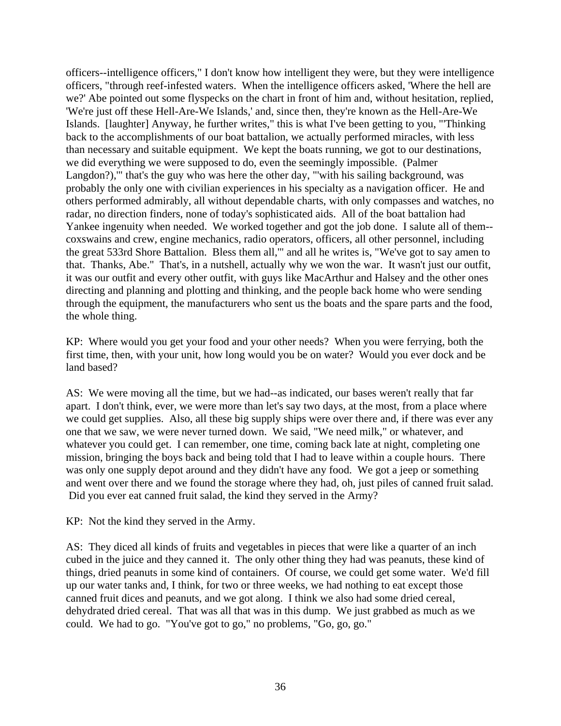officers--intelligence officers," I don't know how intelligent they were, but they were intelligence officers, "through reef-infested waters. When the intelligence officers asked, 'Where the hell are we?' Abe pointed out some flyspecks on the chart in front of him and, without hesitation, replied, 'We're just off these Hell-Are-We Islands,' and, since then, they're known as the Hell-Are-We Islands. [laughter] Anyway, he further writes," this is what I've been getting to you, "'Thinking back to the accomplishments of our boat battalion, we actually performed miracles, with less than necessary and suitable equipment. We kept the boats running, we got to our destinations, we did everything we were supposed to do, even the seemingly impossible. (Palmer Langdon?)," that's the guy who was here the other day, "'with his sailing background, was probably the only one with civilian experiences in his specialty as a navigation officer. He and others performed admirably, all without dependable charts, with only compasses and watches, no radar, no direction finders, none of today's sophisticated aids. All of the boat battalion had Yankee ingenuity when needed. We worked together and got the job done. I salute all of them- coxswains and crew, engine mechanics, radio operators, officers, all other personnel, including the great 533rd Shore Battalion. Bless them all,'" and all he writes is, "We've got to say amen to that. Thanks, Abe." That's, in a nutshell, actually why we won the war. It wasn't just our outfit, it was our outfit and every other outfit, with guys like MacArthur and Halsey and the other ones directing and planning and plotting and thinking, and the people back home who were sending through the equipment, the manufacturers who sent us the boats and the spare parts and the food, the whole thing.

KP: Where would you get your food and your other needs? When you were ferrying, both the first time, then, with your unit, how long would you be on water? Would you ever dock and be land based?

AS: We were moving all the time, but we had--as indicated, our bases weren't really that far apart. I don't think, ever, we were more than let's say two days, at the most, from a place where we could get supplies. Also, all these big supply ships were over there and, if there was ever any one that we saw, we were never turned down. We said, "We need milk," or whatever, and whatever you could get. I can remember, one time, coming back late at night, completing one mission, bringing the boys back and being told that I had to leave within a couple hours. There was only one supply depot around and they didn't have any food. We got a jeep or something and went over there and we found the storage where they had, oh, just piles of canned fruit salad. Did you ever eat canned fruit salad, the kind they served in the Army?

KP: Not the kind they served in the Army.

AS: They diced all kinds of fruits and vegetables in pieces that were like a quarter of an inch cubed in the juice and they canned it. The only other thing they had was peanuts, these kind of things, dried peanuts in some kind of containers. Of course, we could get some water. We'd fill up our water tanks and, I think, for two or three weeks, we had nothing to eat except those canned fruit dices and peanuts, and we got along. I think we also had some dried cereal, dehydrated dried cereal. That was all that was in this dump. We just grabbed as much as we could. We had to go. "You've got to go," no problems, "Go, go, go."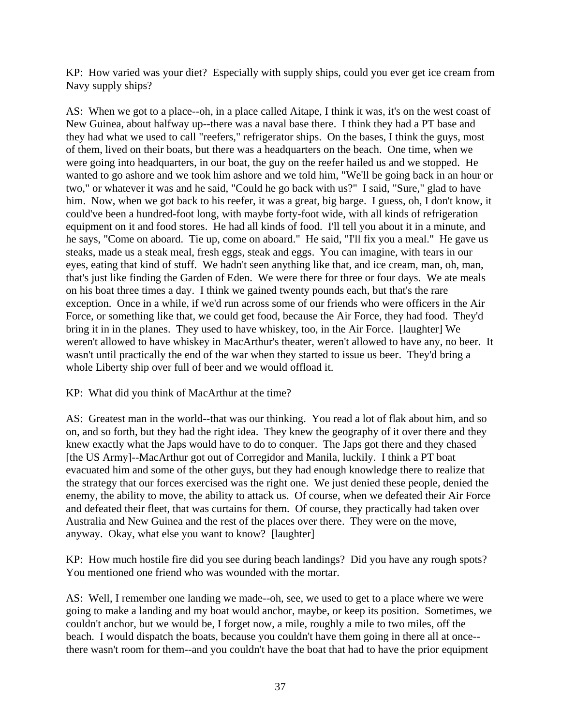KP: How varied was your diet? Especially with supply ships, could you ever get ice cream from Navy supply ships?

AS: When we got to a place--oh, in a place called Aitape, I think it was, it's on the west coast of New Guinea, about halfway up--there was a naval base there. I think they had a PT base and they had what we used to call "reefers," refrigerator ships. On the bases, I think the guys, most of them, lived on their boats, but there was a headquarters on the beach. One time, when we were going into headquarters, in our boat, the guy on the reefer hailed us and we stopped. He wanted to go ashore and we took him ashore and we told him, "We'll be going back in an hour or two," or whatever it was and he said, "Could he go back with us?" I said, "Sure," glad to have him. Now, when we got back to his reefer, it was a great, big barge. I guess, oh, I don't know, it could've been a hundred-foot long, with maybe forty-foot wide, with all kinds of refrigeration equipment on it and food stores. He had all kinds of food. I'll tell you about it in a minute, and he says, "Come on aboard. Tie up, come on aboard." He said, "I'll fix you a meal." He gave us steaks, made us a steak meal, fresh eggs, steak and eggs. You can imagine, with tears in our eyes, eating that kind of stuff. We hadn't seen anything like that, and ice cream, man, oh, man, that's just like finding the Garden of Eden. We were there for three or four days. We ate meals on his boat three times a day. I think we gained twenty pounds each, but that's the rare exception. Once in a while, if we'd run across some of our friends who were officers in the Air Force, or something like that, we could get food, because the Air Force, they had food. They'd bring it in in the planes. They used to have whiskey, too, in the Air Force. [laughter] We weren't allowed to have whiskey in MacArthur's theater, weren't allowed to have any, no beer. It wasn't until practically the end of the war when they started to issue us beer. They'd bring a whole Liberty ship over full of beer and we would offload it.

KP: What did you think of MacArthur at the time?

AS: Greatest man in the world--that was our thinking. You read a lot of flak about him, and so on, and so forth, but they had the right idea. They knew the geography of it over there and they knew exactly what the Japs would have to do to conquer. The Japs got there and they chased [the US Army]--MacArthur got out of Corregidor and Manila, luckily. I think a PT boat evacuated him and some of the other guys, but they had enough knowledge there to realize that the strategy that our forces exercised was the right one. We just denied these people, denied the enemy, the ability to move, the ability to attack us. Of course, when we defeated their Air Force and defeated their fleet, that was curtains for them. Of course, they practically had taken over Australia and New Guinea and the rest of the places over there. They were on the move, anyway. Okay, what else you want to know? [laughter]

KP: How much hostile fire did you see during beach landings? Did you have any rough spots? You mentioned one friend who was wounded with the mortar.

AS: Well, I remember one landing we made--oh, see, we used to get to a place where we were going to make a landing and my boat would anchor, maybe, or keep its position. Sometimes, we couldn't anchor, but we would be, I forget now, a mile, roughly a mile to two miles, off the beach. I would dispatch the boats, because you couldn't have them going in there all at once- there wasn't room for them--and you couldn't have the boat that had to have the prior equipment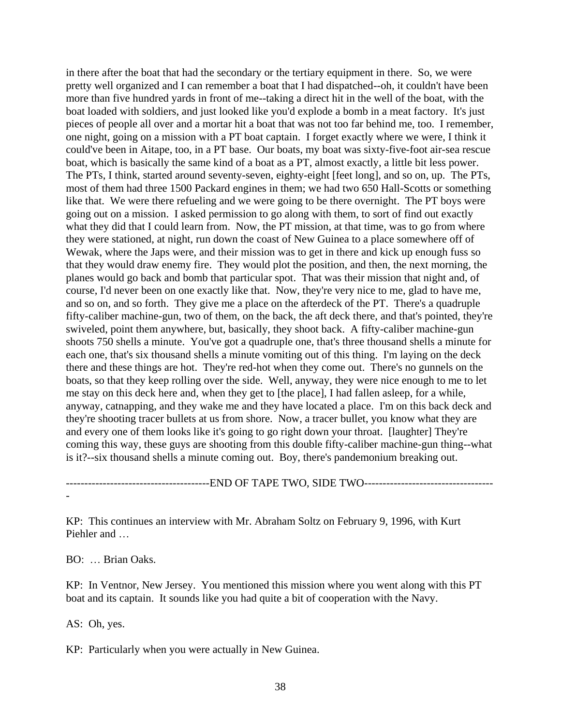in there after the boat that had the secondary or the tertiary equipment in there. So, we were pretty well organized and I can remember a boat that I had dispatched--oh, it couldn't have been more than five hundred yards in front of me--taking a direct hit in the well of the boat, with the boat loaded with soldiers, and just looked like you'd explode a bomb in a meat factory. It's just pieces of people all over and a mortar hit a boat that was not too far behind me, too. I remember, one night, going on a mission with a PT boat captain. I forget exactly where we were, I think it could've been in Aitape, too, in a PT base. Our boats, my boat was sixty-five-foot air-sea rescue boat, which is basically the same kind of a boat as a PT, almost exactly, a little bit less power. The PTs, I think, started around seventy-seven, eighty-eight [feet long], and so on, up. The PTs, most of them had three 1500 Packard engines in them; we had two 650 Hall-Scotts or something like that. We were there refueling and we were going to be there overnight. The PT boys were going out on a mission. I asked permission to go along with them, to sort of find out exactly what they did that I could learn from. Now, the PT mission, at that time, was to go from where they were stationed, at night, run down the coast of New Guinea to a place somewhere off of Wewak, where the Japs were, and their mission was to get in there and kick up enough fuss so that they would draw enemy fire. They would plot the position, and then, the next morning, the planes would go back and bomb that particular spot. That was their mission that night and, of course, I'd never been on one exactly like that. Now, they're very nice to me, glad to have me, and so on, and so forth. They give me a place on the afterdeck of the PT. There's a quadruple fifty-caliber machine-gun, two of them, on the back, the aft deck there, and that's pointed, they're swiveled, point them anywhere, but, basically, they shoot back. A fifty-caliber machine-gun shoots 750 shells a minute. You've got a quadruple one, that's three thousand shells a minute for each one, that's six thousand shells a minute vomiting out of this thing. I'm laying on the deck there and these things are hot. They're red-hot when they come out. There's no gunnels on the boats, so that they keep rolling over the side. Well, anyway, they were nice enough to me to let me stay on this deck here and, when they get to [the place], I had fallen asleep, for a while, anyway, catnapping, and they wake me and they have located a place. I'm on this back deck and they're shooting tracer bullets at us from shore. Now, a tracer bullet, you know what they are and every one of them looks like it's going to go right down your throat. [laughter] They're coming this way, these guys are shooting from this double fifty-caliber machine-gun thing--what is it?--six thousand shells a minute coming out. Boy, there's pandemonium breaking out.

---------------------------------------END OF TAPE TWO, SIDE TWO-----------------------------------

KP: This continues an interview with Mr. Abraham Soltz on February 9, 1996, with Kurt Piehler and …

BO: … Brian Oaks.

KP: In Ventnor, New Jersey. You mentioned this mission where you went along with this PT boat and its captain. It sounds like you had quite a bit of cooperation with the Navy.

AS: Oh, yes.

-

KP: Particularly when you were actually in New Guinea.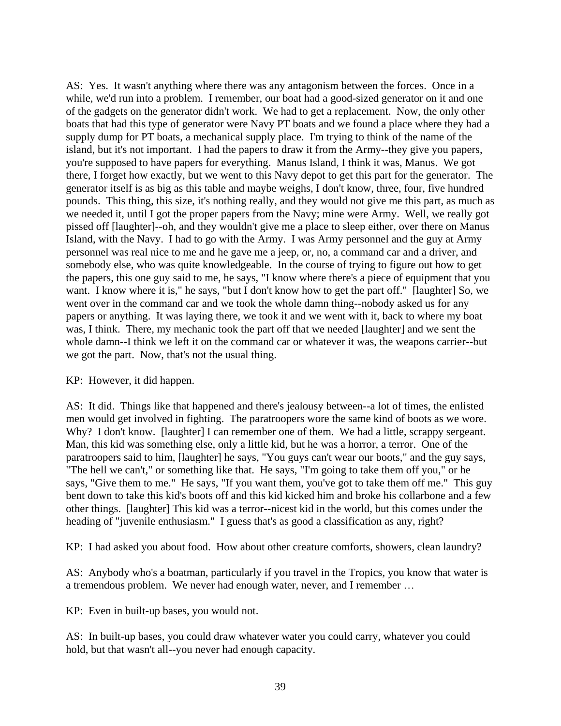AS: Yes. It wasn't anything where there was any antagonism between the forces. Once in a while, we'd run into a problem. I remember, our boat had a good-sized generator on it and one of the gadgets on the generator didn't work. We had to get a replacement. Now, the only other boats that had this type of generator were Navy PT boats and we found a place where they had a supply dump for PT boats, a mechanical supply place. I'm trying to think of the name of the island, but it's not important. I had the papers to draw it from the Army--they give you papers, you're supposed to have papers for everything. Manus Island, I think it was, Manus. We got there, I forget how exactly, but we went to this Navy depot to get this part for the generator. The generator itself is as big as this table and maybe weighs, I don't know, three, four, five hundred pounds. This thing, this size, it's nothing really, and they would not give me this part, as much as we needed it, until I got the proper papers from the Navy; mine were Army. Well, we really got pissed off [laughter]--oh, and they wouldn't give me a place to sleep either, over there on Manus Island, with the Navy. I had to go with the Army. I was Army personnel and the guy at Army personnel was real nice to me and he gave me a jeep, or, no, a command car and a driver, and somebody else, who was quite knowledgeable. In the course of trying to figure out how to get the papers, this one guy said to me, he says, "I know where there's a piece of equipment that you want. I know where it is," he says, "but I don't know how to get the part off." [laughter] So, we went over in the command car and we took the whole damn thing--nobody asked us for any papers or anything. It was laying there, we took it and we went with it, back to where my boat was, I think. There, my mechanic took the part off that we needed [laughter] and we sent the whole damn--I think we left it on the command car or whatever it was, the weapons carrier--but we got the part. Now, that's not the usual thing.

## KP: However, it did happen.

AS: It did. Things like that happened and there's jealousy between--a lot of times, the enlisted men would get involved in fighting. The paratroopers wore the same kind of boots as we wore. Why? I don't know. [laughter] I can remember one of them. We had a little, scrappy sergeant. Man, this kid was something else, only a little kid, but he was a horror, a terror. One of the paratroopers said to him, [laughter] he says, "You guys can't wear our boots," and the guy says, "The hell we can't," or something like that. He says, "I'm going to take them off you," or he says, "Give them to me." He says, "If you want them, you've got to take them off me." This guy bent down to take this kid's boots off and this kid kicked him and broke his collarbone and a few other things. [laughter] This kid was a terror--nicest kid in the world, but this comes under the heading of "juvenile enthusiasm." I guess that's as good a classification as any, right?

KP: I had asked you about food. How about other creature comforts, showers, clean laundry?

AS: Anybody who's a boatman, particularly if you travel in the Tropics, you know that water is a tremendous problem. We never had enough water, never, and I remember …

KP: Even in built-up bases, you would not.

AS: In built-up bases, you could draw whatever water you could carry, whatever you could hold, but that wasn't all--you never had enough capacity.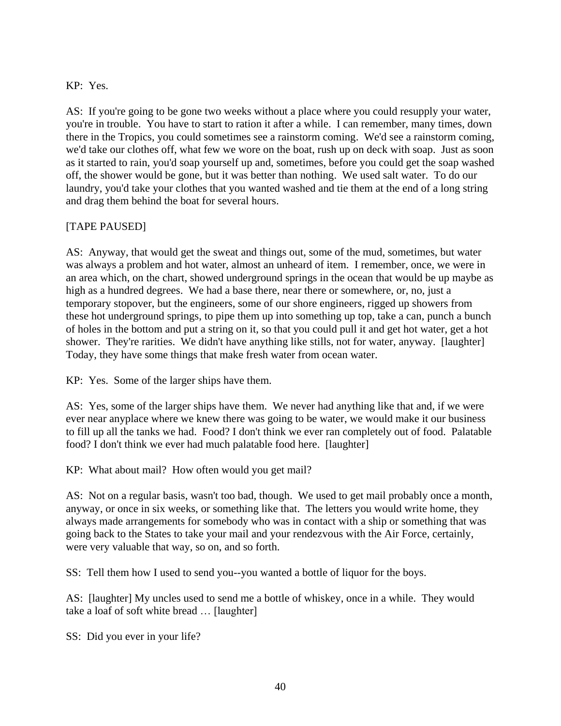## KP: Yes.

AS: If you're going to be gone two weeks without a place where you could resupply your water, you're in trouble. You have to start to ration it after a while. I can remember, many times, down there in the Tropics, you could sometimes see a rainstorm coming. We'd see a rainstorm coming, we'd take our clothes off, what few we wore on the boat, rush up on deck with soap. Just as soon as it started to rain, you'd soap yourself up and, sometimes, before you could get the soap washed off, the shower would be gone, but it was better than nothing. We used salt water. To do our laundry, you'd take your clothes that you wanted washed and tie them at the end of a long string and drag them behind the boat for several hours.

# [TAPE PAUSED]

AS: Anyway, that would get the sweat and things out, some of the mud, sometimes, but water was always a problem and hot water, almost an unheard of item. I remember, once, we were in an area which, on the chart, showed underground springs in the ocean that would be up maybe as high as a hundred degrees. We had a base there, near there or somewhere, or, no, just a temporary stopover, but the engineers, some of our shore engineers, rigged up showers from these hot underground springs, to pipe them up into something up top, take a can, punch a bunch of holes in the bottom and put a string on it, so that you could pull it and get hot water, get a hot shower. They're rarities. We didn't have anything like stills, not for water, anyway. [laughter] Today, they have some things that make fresh water from ocean water.

KP: Yes. Some of the larger ships have them.

AS: Yes, some of the larger ships have them. We never had anything like that and, if we were ever near anyplace where we knew there was going to be water, we would make it our business to fill up all the tanks we had. Food? I don't think we ever ran completely out of food. Palatable food? I don't think we ever had much palatable food here. [laughter]

KP: What about mail? How often would you get mail?

AS: Not on a regular basis, wasn't too bad, though. We used to get mail probably once a month, anyway, or once in six weeks, or something like that. The letters you would write home, they always made arrangements for somebody who was in contact with a ship or something that was going back to the States to take your mail and your rendezvous with the Air Force, certainly, were very valuable that way, so on, and so forth.

SS: Tell them how I used to send you--you wanted a bottle of liquor for the boys.

AS: [laughter] My uncles used to send me a bottle of whiskey, once in a while. They would take a loaf of soft white bread … [laughter]

SS: Did you ever in your life?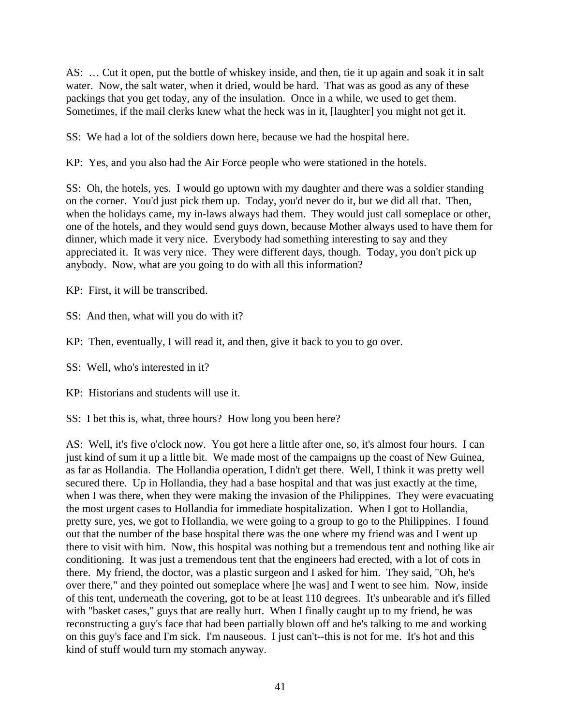AS: … Cut it open, put the bottle of whiskey inside, and then, tie it up again and soak it in salt water. Now, the salt water, when it dried, would be hard. That was as good as any of these packings that you get today, any of the insulation. Once in a while, we used to get them. Sometimes, if the mail clerks knew what the heck was in it, [laughter] you might not get it.

SS: We had a lot of the soldiers down here, because we had the hospital here.

KP: Yes, and you also had the Air Force people who were stationed in the hotels.

SS: Oh, the hotels, yes. I would go uptown with my daughter and there was a soldier standing on the corner. You'd just pick them up. Today, you'd never do it, but we did all that. Then, when the holidays came, my in-laws always had them. They would just call someplace or other, one of the hotels, and they would send guys down, because Mother always used to have them for dinner, which made it very nice. Everybody had something interesting to say and they appreciated it. It was very nice. They were different days, though. Today, you don't pick up anybody. Now, what are you going to do with all this information?

KP: First, it will be transcribed.

SS: And then, what will you do with it?

KP: Then, eventually, I will read it, and then, give it back to you to go over.

SS: Well, who's interested in it?

KP: Historians and students will use it.

SS: I bet this is, what, three hours? How long you been here?

AS: Well, it's five o'clock now. You got here a little after one, so, it's almost four hours. I can just kind of sum it up a little bit. We made most of the campaigns up the coast of New Guinea, as far as Hollandia. The Hollandia operation, I didn't get there. Well, I think it was pretty well secured there. Up in Hollandia, they had a base hospital and that was just exactly at the time, when I was there, when they were making the invasion of the Philippines. They were evacuating the most urgent cases to Hollandia for immediate hospitalization. When I got to Hollandia, pretty sure, yes, we got to Hollandia, we were going to a group to go to the Philippines. I found out that the number of the base hospital there was the one where my friend was and I went up there to visit with him. Now, this hospital was nothing but a tremendous tent and nothing like air conditioning. It was just a tremendous tent that the engineers had erected, with a lot of cots in there. My friend, the doctor, was a plastic surgeon and I asked for him. They said, "Oh, he's over there," and they pointed out someplace where [he was] and I went to see him. Now, inside of this tent, underneath the covering, got to be at least 110 degrees. It's unbearable and it's filled with "basket cases," guys that are really hurt. When I finally caught up to my friend, he was reconstructing a guy's face that had been partially blown off and he's talking to me and working on this guy's face and I'm sick. I'm nauseous. I just can't--this is not for me. It's hot and this kind of stuff would turn my stomach anyway.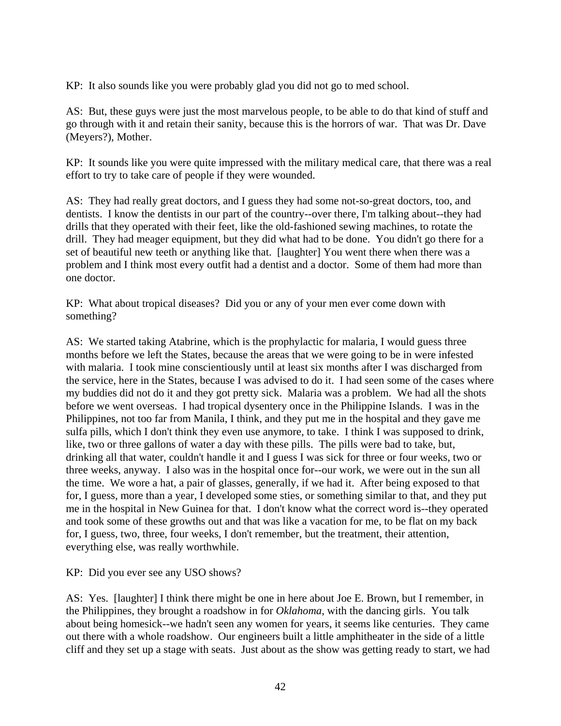KP: It also sounds like you were probably glad you did not go to med school.

AS: But, these guys were just the most marvelous people, to be able to do that kind of stuff and go through with it and retain their sanity, because this is the horrors of war. That was Dr. Dave (Meyers?), Mother.

KP: It sounds like you were quite impressed with the military medical care, that there was a real effort to try to take care of people if they were wounded.

AS: They had really great doctors, and I guess they had some not-so-great doctors, too, and dentists. I know the dentists in our part of the country--over there, I'm talking about--they had drills that they operated with their feet, like the old-fashioned sewing machines, to rotate the drill. They had meager equipment, but they did what had to be done. You didn't go there for a set of beautiful new teeth or anything like that. [laughter] You went there when there was a problem and I think most every outfit had a dentist and a doctor. Some of them had more than one doctor.

KP: What about tropical diseases? Did you or any of your men ever come down with something?

AS: We started taking Atabrine, which is the prophylactic for malaria, I would guess three months before we left the States, because the areas that we were going to be in were infested with malaria. I took mine conscientiously until at least six months after I was discharged from the service, here in the States, because I was advised to do it. I had seen some of the cases where my buddies did not do it and they got pretty sick. Malaria was a problem. We had all the shots before we went overseas. I had tropical dysentery once in the Philippine Islands. I was in the Philippines, not too far from Manila, I think, and they put me in the hospital and they gave me sulfa pills, which I don't think they even use anymore, to take. I think I was supposed to drink, like, two or three gallons of water a day with these pills. The pills were bad to take, but, drinking all that water, couldn't handle it and I guess I was sick for three or four weeks, two or three weeks, anyway. I also was in the hospital once for--our work, we were out in the sun all the time. We wore a hat, a pair of glasses, generally, if we had it. After being exposed to that for, I guess, more than a year, I developed some sties, or something similar to that, and they put me in the hospital in New Guinea for that. I don't know what the correct word is--they operated and took some of these growths out and that was like a vacation for me, to be flat on my back for, I guess, two, three, four weeks, I don't remember, but the treatment, their attention, everything else, was really worthwhile.

KP: Did you ever see any USO shows?

AS: Yes. [laughter] I think there might be one in here about Joe E. Brown, but I remember, in the Philippines, they brought a roadshow in for *Oklahoma*, with the dancing girls. You talk about being homesick--we hadn't seen any women for years, it seems like centuries. They came out there with a whole roadshow. Our engineers built a little amphitheater in the side of a little cliff and they set up a stage with seats. Just about as the show was getting ready to start, we had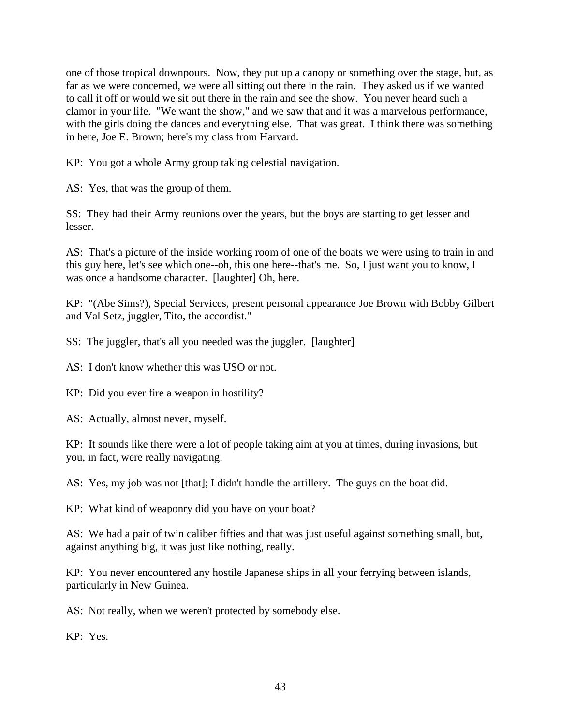one of those tropical downpours. Now, they put up a canopy or something over the stage, but, as far as we were concerned, we were all sitting out there in the rain. They asked us if we wanted to call it off or would we sit out there in the rain and see the show. You never heard such a clamor in your life. "We want the show," and we saw that and it was a marvelous performance, with the girls doing the dances and everything else. That was great. I think there was something in here, Joe E. Brown; here's my class from Harvard.

KP: You got a whole Army group taking celestial navigation.

AS: Yes, that was the group of them.

SS: They had their Army reunions over the years, but the boys are starting to get lesser and lesser.

AS: That's a picture of the inside working room of one of the boats we were using to train in and this guy here, let's see which one--oh, this one here--that's me. So, I just want you to know, I was once a handsome character. [laughter] Oh, here.

KP: "(Abe Sims?), Special Services, present personal appearance Joe Brown with Bobby Gilbert and Val Setz, juggler, Tito, the accordist."

SS: The juggler, that's all you needed was the juggler. [laughter]

AS: I don't know whether this was USO or not.

KP: Did you ever fire a weapon in hostility?

AS: Actually, almost never, myself.

KP: It sounds like there were a lot of people taking aim at you at times, during invasions, but you, in fact, were really navigating.

AS: Yes, my job was not [that]; I didn't handle the artillery. The guys on the boat did.

KP: What kind of weaponry did you have on your boat?

AS: We had a pair of twin caliber fifties and that was just useful against something small, but, against anything big, it was just like nothing, really.

KP: You never encountered any hostile Japanese ships in all your ferrying between islands, particularly in New Guinea.

AS: Not really, when we weren't protected by somebody else.

KP: Yes.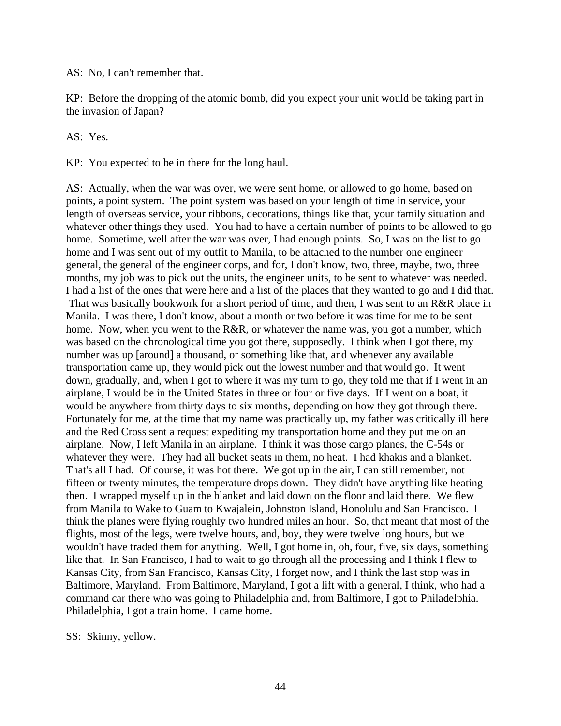AS: No, I can't remember that.

KP: Before the dropping of the atomic bomb, did you expect your unit would be taking part in the invasion of Japan?

AS: Yes.

KP: You expected to be in there for the long haul.

AS: Actually, when the war was over, we were sent home, or allowed to go home, based on points, a point system. The point system was based on your length of time in service, your length of overseas service, your ribbons, decorations, things like that, your family situation and whatever other things they used. You had to have a certain number of points to be allowed to go home. Sometime, well after the war was over, I had enough points. So, I was on the list to go home and I was sent out of my outfit to Manila, to be attached to the number one engineer general, the general of the engineer corps, and for, I don't know, two, three, maybe, two, three months, my job was to pick out the units, the engineer units, to be sent to whatever was needed. I had a list of the ones that were here and a list of the places that they wanted to go and I did that. That was basically bookwork for a short period of time, and then, I was sent to an R&R place in Manila. I was there, I don't know, about a month or two before it was time for me to be sent home. Now, when you went to the R&R, or whatever the name was, you got a number, which was based on the chronological time you got there, supposedly. I think when I got there, my number was up [around] a thousand, or something like that, and whenever any available transportation came up, they would pick out the lowest number and that would go. It went down, gradually, and, when I got to where it was my turn to go, they told me that if I went in an airplane, I would be in the United States in three or four or five days. If I went on a boat, it would be anywhere from thirty days to six months, depending on how they got through there. Fortunately for me, at the time that my name was practically up, my father was critically ill here and the Red Cross sent a request expediting my transportation home and they put me on an airplane. Now, I left Manila in an airplane. I think it was those cargo planes, the C-54s or whatever they were. They had all bucket seats in them, no heat. I had khakis and a blanket. That's all I had. Of course, it was hot there. We got up in the air, I can still remember, not fifteen or twenty minutes, the temperature drops down. They didn't have anything like heating then. I wrapped myself up in the blanket and laid down on the floor and laid there. We flew from Manila to Wake to Guam to Kwajalein, Johnston Island, Honolulu and San Francisco. I think the planes were flying roughly two hundred miles an hour. So, that meant that most of the flights, most of the legs, were twelve hours, and, boy, they were twelve long hours, but we wouldn't have traded them for anything. Well, I got home in, oh, four, five, six days, something like that. In San Francisco, I had to wait to go through all the processing and I think I flew to Kansas City, from San Francisco, Kansas City, I forget now, and I think the last stop was in Baltimore, Maryland. From Baltimore, Maryland, I got a lift with a general, I think, who had a command car there who was going to Philadelphia and, from Baltimore, I got to Philadelphia. Philadelphia, I got a train home. I came home.

SS: Skinny, yellow.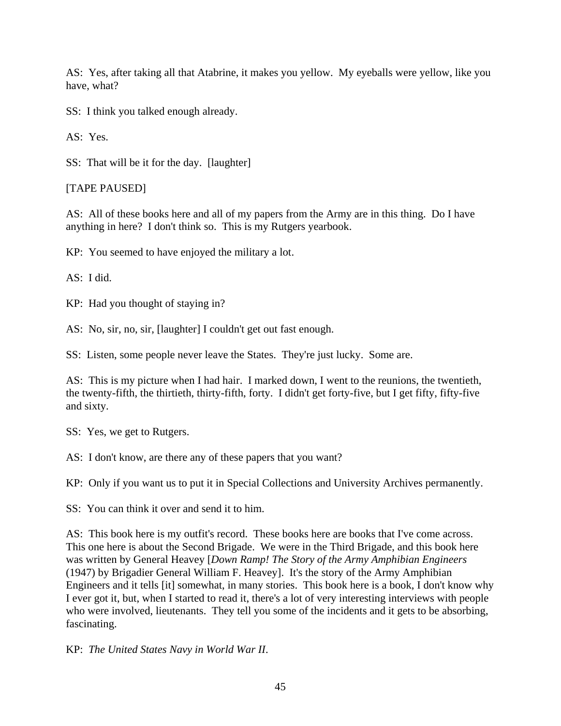AS: Yes, after taking all that Atabrine, it makes you yellow. My eyeballs were yellow, like you have, what?

SS: I think you talked enough already.

AS: Yes.

SS: That will be it for the day. [laughter]

# [TAPE PAUSED]

AS: All of these books here and all of my papers from the Army are in this thing. Do I have anything in here? I don't think so. This is my Rutgers yearbook.

KP: You seemed to have enjoyed the military a lot.

AS: I did.

KP: Had you thought of staying in?

AS: No, sir, no, sir, [laughter] I couldn't get out fast enough.

SS: Listen, some people never leave the States. They're just lucky. Some are.

AS: This is my picture when I had hair. I marked down, I went to the reunions, the twentieth, the twenty-fifth, the thirtieth, thirty-fifth, forty. I didn't get forty-five, but I get fifty, fifty-five and sixty.

SS: Yes, we get to Rutgers.

AS: I don't know, are there any of these papers that you want?

KP: Only if you want us to put it in Special Collections and University Archives permanently.

SS: You can think it over and send it to him.

AS: This book here is my outfit's record. These books here are books that I've come across. This one here is about the Second Brigade. We were in the Third Brigade, and this book here was written by General Heavey [*Down Ramp! The Story of the Army Amphibian Engineers*  (1947) by Brigadier General William F. Heavey]. It's the story of the Army Amphibian Engineers and it tells [it] somewhat, in many stories. This book here is a book, I don't know why I ever got it, but, when I started to read it, there's a lot of very interesting interviews with people who were involved, lieutenants. They tell you some of the incidents and it gets to be absorbing, fascinating.

KP: *The United States Navy in World War II*.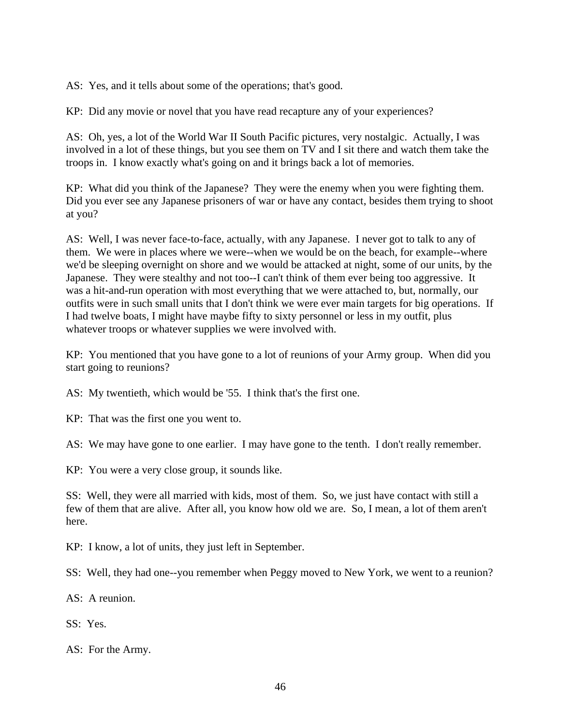AS: Yes, and it tells about some of the operations; that's good.

KP: Did any movie or novel that you have read recapture any of your experiences?

AS: Oh, yes, a lot of the World War II South Pacific pictures, very nostalgic. Actually, I was involved in a lot of these things, but you see them on TV and I sit there and watch them take the troops in. I know exactly what's going on and it brings back a lot of memories.

KP: What did you think of the Japanese? They were the enemy when you were fighting them. Did you ever see any Japanese prisoners of war or have any contact, besides them trying to shoot at you?

AS: Well, I was never face-to-face, actually, with any Japanese. I never got to talk to any of them. We were in places where we were--when we would be on the beach, for example--where we'd be sleeping overnight on shore and we would be attacked at night, some of our units, by the Japanese. They were stealthy and not too--I can't think of them ever being too aggressive. It was a hit-and-run operation with most everything that we were attached to, but, normally, our outfits were in such small units that I don't think we were ever main targets for big operations. If I had twelve boats, I might have maybe fifty to sixty personnel or less in my outfit, plus whatever troops or whatever supplies we were involved with.

KP: You mentioned that you have gone to a lot of reunions of your Army group. When did you start going to reunions?

AS: My twentieth, which would be '55. I think that's the first one.

KP: That was the first one you went to.

AS: We may have gone to one earlier. I may have gone to the tenth. I don't really remember.

KP: You were a very close group, it sounds like.

SS: Well, they were all married with kids, most of them. So, we just have contact with still a few of them that are alive. After all, you know how old we are. So, I mean, a lot of them aren't here.

KP: I know, a lot of units, they just left in September.

SS: Well, they had one--you remember when Peggy moved to New York, we went to a reunion?

AS: A reunion.

SS: Yes.

AS: For the Army.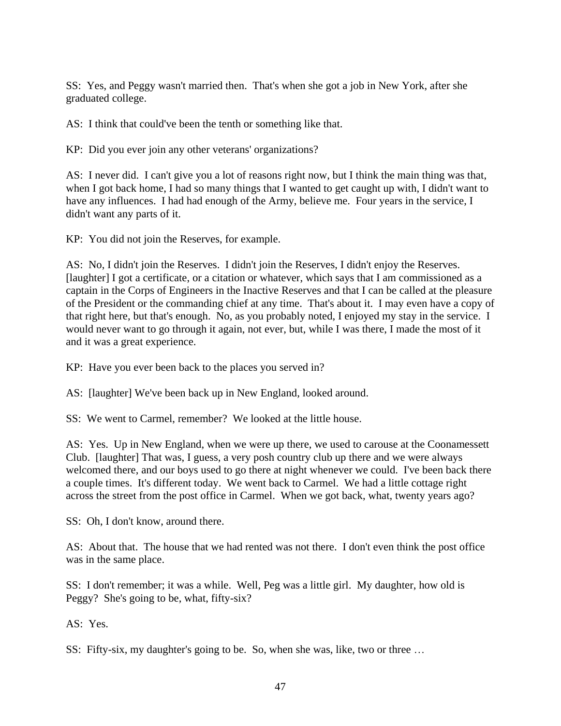SS: Yes, and Peggy wasn't married then. That's when she got a job in New York, after she graduated college.

AS: I think that could've been the tenth or something like that.

KP: Did you ever join any other veterans' organizations?

AS: I never did. I can't give you a lot of reasons right now, but I think the main thing was that, when I got back home, I had so many things that I wanted to get caught up with, I didn't want to have any influences. I had had enough of the Army, believe me. Four years in the service, I didn't want any parts of it.

KP: You did not join the Reserves, for example.

AS: No, I didn't join the Reserves. I didn't join the Reserves, I didn't enjoy the Reserves. [laughter] I got a certificate, or a citation or whatever, which says that I am commissioned as a captain in the Corps of Engineers in the Inactive Reserves and that I can be called at the pleasure of the President or the commanding chief at any time. That's about it. I may even have a copy of that right here, but that's enough. No, as you probably noted, I enjoyed my stay in the service. I would never want to go through it again, not ever, but, while I was there, I made the most of it and it was a great experience.

KP: Have you ever been back to the places you served in?

AS: [laughter] We've been back up in New England, looked around.

SS: We went to Carmel, remember? We looked at the little house.

AS: Yes. Up in New England, when we were up there, we used to carouse at the Coonamessett Club. [laughter] That was, I guess, a very posh country club up there and we were always welcomed there, and our boys used to go there at night whenever we could. I've been back there a couple times. It's different today. We went back to Carmel. We had a little cottage right across the street from the post office in Carmel. When we got back, what, twenty years ago?

SS: Oh, I don't know, around there.

AS: About that. The house that we had rented was not there. I don't even think the post office was in the same place.

SS: I don't remember; it was a while. Well, Peg was a little girl. My daughter, how old is Peggy? She's going to be, what, fifty-six?

AS: Yes.

SS: Fifty-six, my daughter's going to be. So, when she was, like, two or three …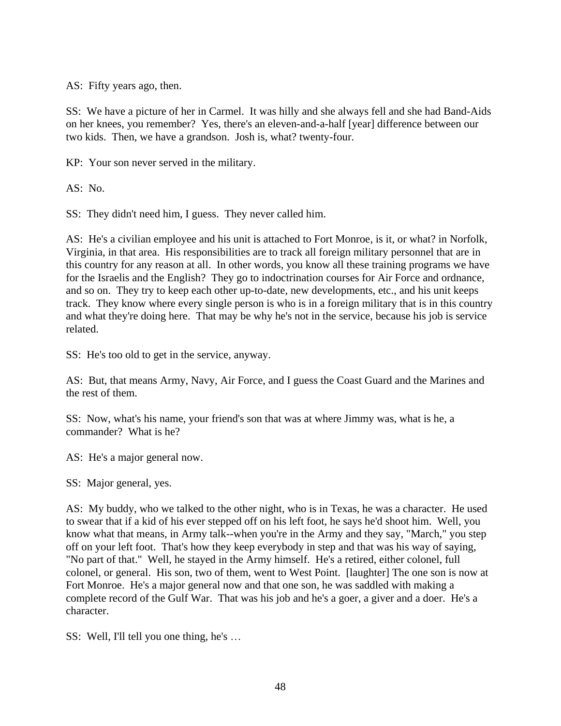AS: Fifty years ago, then.

SS: We have a picture of her in Carmel. It was hilly and she always fell and she had Band-Aids on her knees, you remember? Yes, there's an eleven-and-a-half [year] difference between our two kids. Then, we have a grandson. Josh is, what? twenty-four.

KP: Your son never served in the military.

AS: No.

SS: They didn't need him, I guess. They never called him.

AS: He's a civilian employee and his unit is attached to Fort Monroe, is it, or what? in Norfolk, Virginia, in that area. His responsibilities are to track all foreign military personnel that are in this country for any reason at all. In other words, you know all these training programs we have for the Israelis and the English? They go to indoctrination courses for Air Force and ordnance, and so on. They try to keep each other up-to-date, new developments, etc., and his unit keeps track. They know where every single person is who is in a foreign military that is in this country and what they're doing here. That may be why he's not in the service, because his job is service related.

SS: He's too old to get in the service, anyway.

AS: But, that means Army, Navy, Air Force, and I guess the Coast Guard and the Marines and the rest of them.

SS: Now, what's his name, your friend's son that was at where Jimmy was, what is he, a commander? What is he?

AS: He's a major general now.

SS: Major general, yes.

AS: My buddy, who we talked to the other night, who is in Texas, he was a character. He used to swear that if a kid of his ever stepped off on his left foot, he says he'd shoot him. Well, you know what that means, in Army talk--when you're in the Army and they say, "March," you step off on your left foot. That's how they keep everybody in step and that was his way of saying, "No part of that." Well, he stayed in the Army himself. He's a retired, either colonel, full colonel, or general. His son, two of them, went to West Point. [laughter] The one son is now at Fort Monroe. He's a major general now and that one son, he was saddled with making a complete record of the Gulf War. That was his job and he's a goer, a giver and a doer. He's a character.

SS: Well, I'll tell you one thing, he's …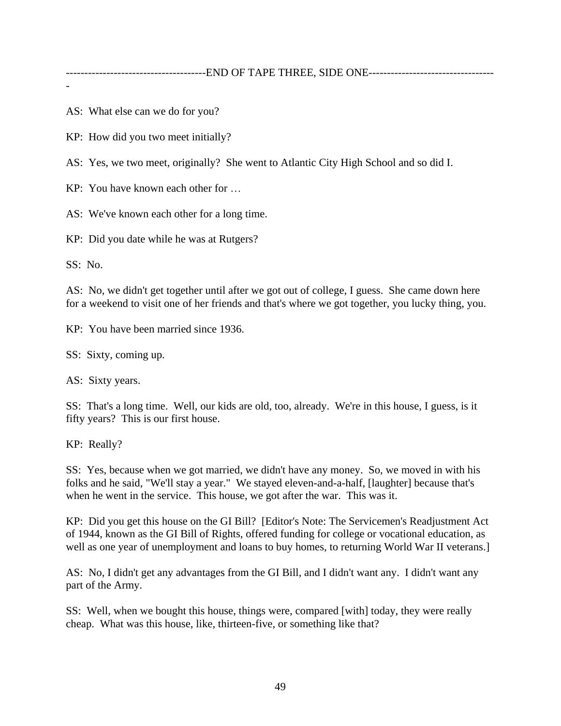-

AS: What else can we do for you?

KP: How did you two meet initially?

AS: Yes, we two meet, originally? She went to Atlantic City High School and so did I.

KP: You have known each other for …

AS: We've known each other for a long time.

KP: Did you date while he was at Rutgers?

SS: No.

AS: No, we didn't get together until after we got out of college, I guess. She came down here for a weekend to visit one of her friends and that's where we got together, you lucky thing, you.

KP: You have been married since 1936.

SS: Sixty, coming up.

AS: Sixty years.

SS: That's a long time. Well, our kids are old, too, already. We're in this house, I guess, is it fifty years? This is our first house.

KP: Really?

SS: Yes, because when we got married, we didn't have any money. So, we moved in with his folks and he said, "We'll stay a year." We stayed eleven-and-a-half, [laughter] because that's when he went in the service. This house, we got after the war. This was it.

KP: Did you get this house on the GI Bill? [Editor's Note: The Servicemen's Readjustment Act of 1944, known as the GI Bill of Rights, offered funding for college or vocational education, as well as one year of unemployment and loans to buy homes, to returning World War II veterans.

AS: No, I didn't get any advantages from the GI Bill, and I didn't want any. I didn't want any part of the Army.

SS: Well, when we bought this house, things were, compared [with] today, they were really cheap. What was this house, like, thirteen-five, or something like that?